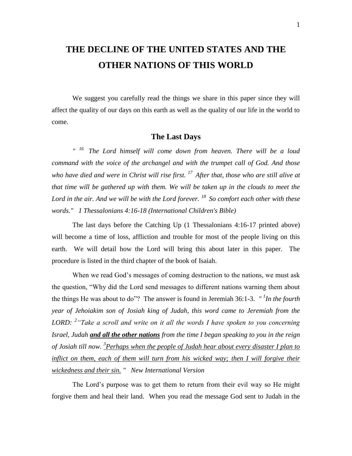# **THE DECLINE OF THE UNITED STATES AND THE OTHER NATIONS OF THIS WORLD**

We suggest you carefully read the things we share in this paper since they will affect the quality of our days on this earth as well as the quality of our life in the world to come.

### **The Last Days**

 $n \t16$ *<sup>16</sup>The Lord himself will come down from heaven. There will be a loud command with the voice of the archangel and with the trumpet call of God. And those who have died and were in Christ will rise first. <sup>17</sup>After that, those who are still alive at that time will be gathered up with them. We will be taken up in the clouds to meet the Lord in the air. And we will be with the Lord forever. <sup>18</sup>So comfort each other with these words." 1 Thessalonians 4:16-18 (International Children's Bible)*

The last days before the Catching Up (1 Thessalonians 4:16-17 printed above) will become a time of loss, affliction and trouble for most of the people living on this earth. We will detail how the Lord will bring this about later in this paper. The procedure is listed in the third chapter of the book of Isaiah.

When we read God's messages of coming destruction to the nations, we must ask the question, "Why did the Lord send messages to different nations warning them about the things He was about to do"? The answer is found in Jeremiah 36:1-3. *" <sup>1</sup> In the fourth year of Jehoiakim son of Josiah king of Judah, this word came to Jeremiah from the LORD: <sup>2</sup> "Take a scroll and write on it all the words I have spoken to you concerning Israel, Judah and all the other nations from the time I began speaking to you in the reign of Josiah till now. <sup>3</sup> Perhaps when the people of Judah hear about every disaster I plan to inflict on them, each of them will turn from his wicked way; then I will forgive their wickedness and their sin. " New International Version*

The Lord's purpose was to get them to return from their evil way so He might forgive them and heal their land. When you read the message God sent to Judah in the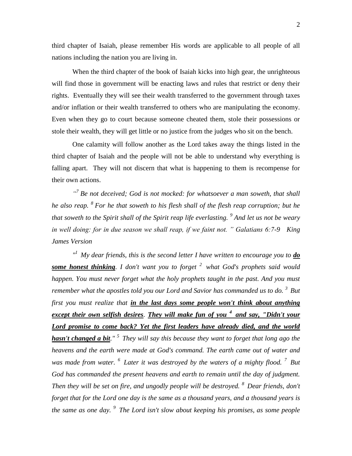third chapter of Isaiah, please remember His words are applicable to all people of all nations including the nation you are living in.

When the third chapter of the book of Isaiah kicks into high gear, the unrighteous will find those in government will be enacting laws and rules that restrict or deny their rights. Eventually they will see their wealth transferred to the government through taxes and/or inflation or their wealth transferred to others who are manipulating the economy. Even when they go to court because someone cheated them, stole their possessions or stole their wealth, they will get little or no justice from the judges who sit on the bench.

One calamity will follow another as the Lord takes away the things listed in the third chapter of Isaiah and the people will not be able to understand why everything is falling apart. They will not discern that what is happening to them is recompense for their own actions.

<sup>"</sup> Be not deceived; God is not mocked: for whatsoever a man soweth, that shall *he also reap. <sup>8</sup> For he that soweth to his flesh shall of the flesh reap corruption; but he that soweth to the Spirit shall of the Spirit reap life everlasting. <sup>9</sup> And let us not be weary in well doing: for in due season we shall reap, if we faint not. " Galatians 6:7-9 King James Version*

 $\frac{d}{dx}$  *My dear friends, this is the second letter I have written to encourage you to*  $\underline{do}$ *some honest thinking. I don't want you to forget <sup>2</sup>what God's prophets said would happen. You must never forget what the holy prophets taught in the past. And you must remember what the apostles told you our Lord and Savior has commanded us to do.*<sup>3</sup> But *first you must realize that in the last days some people won't think about anything except their own selfish desires. They will make fun of you <sup>4</sup>and say, "Didn't your Lord promise to come back? Yet the first leaders have already died, and the world hasn't changed a bit." <sup>5</sup>They will say this because they want to forget that long ago the heavens and the earth were made at God's command. The earth came out of water and was made from water. <sup>6</sup>Later it was destroyed by the waters of a mighty flood. <sup>7</sup>But God has commanded the present heavens and earth to remain until the day of judgment. Then they will be set on fire, and ungodly people will be destroyed. <sup>8</sup>Dear friends, don't forget that for the Lord one day is the same as a thousand years, and a thousand years is the same as one day. <sup>9</sup>The Lord isn't slow about keeping his promises, as some people*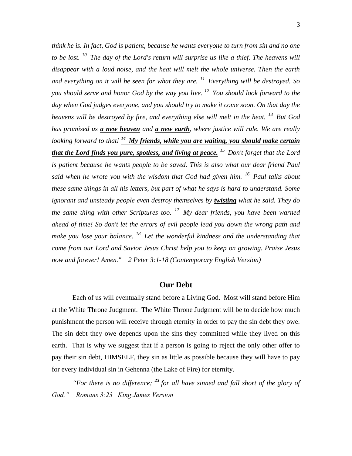*think he is. In fact, God is patient, because he wants everyone to turn from sin and no one to be lost. <sup>10</sup>The day of the Lord's return will surprise us like a thief. The heavens will disappear with a loud noise, and the heat will melt the whole universe. Then the earth and everything on it will be seen for what they are. <sup>11</sup>Everything will be destroyed. So you should serve and honor God by the way you live. <sup>12</sup>You should look forward to the day when God judges everyone, and you should try to make it come soon. On that day the heavens will be destroyed by fire, and everything else will melt in the heat. <sup>13</sup>But God has promised us a new heaven and a new earth, where justice will rule. We are really looking forward to that! <sup>14</sup>My friends, while you are waiting, you should make certain that the Lord finds you pure, spotless, and living at peace. <sup>15</sup>Don't forget that the Lord is patient because he wants people to be saved. This is also what our dear friend Paul said when he wrote you with the wisdom that God had given him. <sup>16</sup>Paul talks about these same things in all his letters, but part of what he says is hard to understand. Some ignorant and unsteady people even destroy themselves by twisting what he said. They do the same thing with other Scriptures too. <sup>17</sup>My dear friends, you have been warned ahead of time! So don't let the errors of evil people lead you down the wrong path and make you lose your balance. <sup>18</sup>Let the wonderful kindness and the understanding that come from our Lord and Savior Jesus Christ help you to keep on growing. Praise Jesus now and forever! Amen." 2 Peter 3:1-18 (Contemporary English Version)*

#### **Our Debt**

Each of us will eventually stand before a Living God. Most will stand before Him at the White Throne Judgment. The White Throne Judgment will be to decide how much punishment the person will receive through eternity in order to pay the sin debt they owe. The sin debt they owe depends upon the sins they committed while they lived on this earth. That is why we suggest that if a person is going to reject the only other offer to pay their sin debt, HIMSELF, they sin as little as possible because they will have to pay for every individual sin in Gehenna (the Lake of Fire) for eternity.

*"For there is no difference; <sup>23</sup> for all have sinned and fall short of the glory of God," Romans 3:23 King James Version*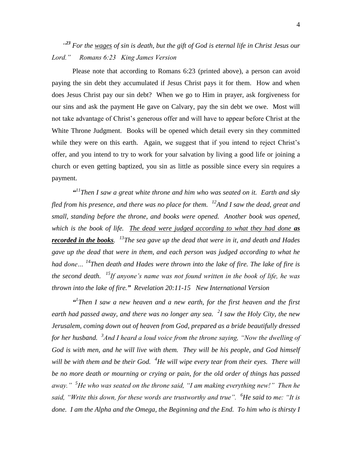*" <sup>23</sup> For the wages of sin is death, but the gift of God is eternal life in Christ Jesus our Lord." Romans 6:23 King James Version* 

Please note that according to Romans 6:23 (printed above), a person can avoid paying the sin debt they accumulated if Jesus Christ pays it for them. How and when does Jesus Christ pay our sin debt? When we go to Him in prayer, ask forgiveness for our sins and ask the payment He gave on Calvary, pay the sin debt we owe. Most will not take advantage of Christ's generous offer and will have to appear before Christ at the White Throne Judgment. Books will be opened which detail every sin they committed while they were on this earth. Again, we suggest that if you intend to reject Christ's offer, and you intend to try to work for your salvation by living a good life or joining a church or even getting baptized, you sin as little as possible since every sin requires a payment.

*" <sup>11</sup>Then I saw a great white throne and him who was seated on it. Earth and sky fled from his presence, and there was no place for them. <sup>12</sup>And I saw the dead, great and small, standing before the throne, and books were opened. Another book was opened, which is the book of life. The dead were judged according to what they had done as recorded in the books. <sup>13</sup>The sea gave up the dead that were in it, and death and Hades gave up the dead that were in them, and each person was judged according to what he had done… <sup>14</sup>Then death and Hades were thrown into the lake of fire. The lake of fire is the second death. <sup>15</sup>If anyone's name was not found written in the book of life, he was thrown into the lake of fire." Revelation 20:11-15 New International Version*

<sup>*a*</sup> *Then I saw a new heaven and a new earth, for the first heaven and the first earth had passed away, and there was no longer any sea. <sup>2</sup> I saw the Holy City, the new Jerusalem, coming down out of heaven from God, prepared as a bride beautifully dressed for her husband. <sup>3</sup> And I heard a loud voice from the throne saying, "Now the dwelling of God is with men, and he will live with them. They will be his people, and God himself will be with them and be their God. <sup>4</sup>He will wipe every tear from their eyes. There will be no more death or mourning or crying or pain, for the old order of things has passed away." <sup>5</sup>He who was seated on the throne said, "I am making everything new!" Then he said, "Write this down, for these words are trustworthy and true". <sup>6</sup>He said to me: "It is done. I am the Alpha and the Omega, the Beginning and the End. To him who is thirsty I*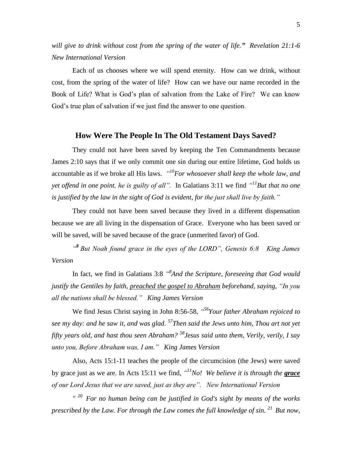*will give to drink without cost from the spring of the water of life." Revelation 21:1-6 New International Version*

Each of us chooses where we will spend eternity. How can we drink, without cost, from the spring of the water of life? How can we have our name recorded in the Book of Life? What is God's plan of salvation from the Lake of Fire? We can know God's true plan of salvation if we just find the answer to one question.

### **How Were The People In The Old Testament Days Saved?**

They could not have been saved by keeping the Ten Commandments because James 2:10 says that if we only commit one sin during our entire lifetime, God holds us accountable as if we broke all His laws. *" <sup>10</sup>For whosoever shall keep the whole law, and yet offend in one point, he is guilty of all*". In Galatians 3:11 we find  $\frac{dI}{dB}$ ut that no one *is justified by the law in the sight of God is evident, for the just shall live by faith."*

They could not have been saved because they lived in a different dispensation because we are all living in the dispensation of Grace. Everyone who has been saved or will be saved, will be saved because of the grace (unmerited favor) of God.

<sup>48</sup> But Noah found grace in the eyes of the LORD", Genesis 6:8 King James *Version*

In fact, we find in Galatians 3:8 "<sup>8</sup>And the Scripture, foreseeing that God would *justify the Gentiles by faith, preached the gospel to Abraham beforehand, saying, "In you all the nations shall be blessed." King James Version*

We find Jesus Christ saying in John 8:56-58, *" <sup>56</sup>Your father Abraham rejoiced to see my day: and he saw it, and was glad. <sup>57</sup>Then said the Jews unto him, Thou art not yet fifty years old, and hast thou seen Abraham? <sup>58</sup>Jesus said unto them, Verily, verily, I say unto you, Before Abraham was, I am." King James Version*

Also, Acts 15:1-11 teaches the people of the circumcision (the Jews) were saved by grace just as we are. In Acts 15:11 we find, *" <sup>11</sup>No! We believe it is through the grace of our Lord Jesus that we are saved, just as they are". New International Version*

*" <sup>20</sup>For no human being can be justified in God's sight by means of the works prescribed by the Law. For through the Law comes the full knowledge of sin.* <sup>21</sup> *But now,*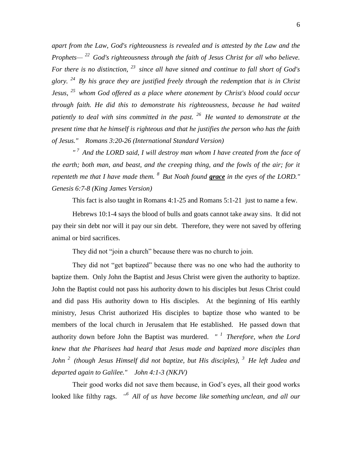*apart from the Law, God's righteousness is revealed and is attested by the Law and the Prophets— <sup>22</sup>God's righteousness through the faith of Jesus Christ for all who believe. For there is no distinction, <sup>23</sup>since all have sinned and continue to fall short of God's glory. <sup>24</sup>By his grace they are justified freely through the redemption that is in Christ Jesus, <sup>25</sup>whom God offered as a place where atonement by Christ's blood could occur through faith. He did this to demonstrate his righteousness, because he had waited patiently to deal with sins committed in the past. <sup>26</sup>He wanted to demonstrate at the present time that he himself is righteous and that he justifies the person who has the faith of Jesus." Romans 3:20-26 (International Standard Version)*

*" <sup>7</sup>And the LORD said, I will destroy man whom I have created from the face of the earth; both man, and beast, and the creeping thing, and the fowls of the air; for it repenteth me that I have made them. <sup>8</sup>But Noah found grace in the eyes of the LORD." Genesis 6:7-8 (King James Version)* 

This fact is also taught in Romans 4:1-25 and Romans 5:1-21 just to name a few.

Hebrews 10:1-4 says the blood of bulls and goats cannot take away sins. It did not pay their sin debt nor will it pay our sin debt. Therefore, they were not saved by offering animal or bird sacrifices.

They did not "join a church" because there was no church to join.

They did not "get baptized" because there was no one who had the authority to baptize them. Only John the Baptist and Jesus Christ were given the authority to baptize. John the Baptist could not pass his authority down to his disciples but Jesus Christ could and did pass His authority down to His disciples. At the beginning of His earthly ministry, Jesus Christ authorized His disciples to baptize those who wanted to be members of the local church in Jerusalem that He established. He passed down that authority down before John the Baptist was murdered. *" <sup>1</sup>Therefore, when the Lord knew that the Pharisees had heard that Jesus made and baptized more disciples than John <sup>2</sup>(though Jesus Himself did not baptize, but His disciples), <sup>3</sup>He left Judea and departed again to Galilee." John 4:1-3 (NKJV)* 

Their good works did not save them because, in God's eyes, all their good works looked like filthy rags. *" <sup>6</sup>All of us have become like something unclean, and all our*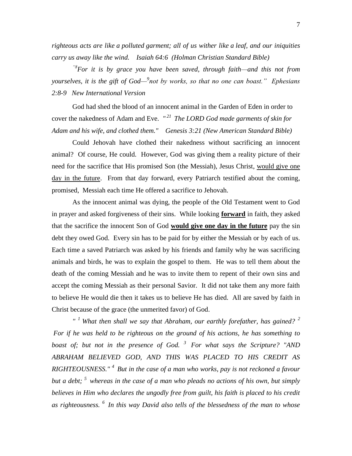*righteous acts are like a polluted garment; all of us wither like a leaf, and our iniquities carry us away like the wind. Isaiah 64:6 (Holman Christian Standard Bible)*

*"8For it is by grace you have been saved, through faith—and this not from yourselves, it is the gift of God*—<sup>9</sup>not by works, so that no one can boast." Ephesians *2:8-9 New International Version*

God had shed the blood of an innocent animal in the Garden of Eden in order to cover the nakedness of Adam and Eve. *" <sup>21</sup>The LORD God made garments of skin for Adam and his wife, and clothed them." Genesis 3:21 (New American Standard Bible)*

Could Jehovah have clothed their nakedness without sacrificing an innocent animal? Of course, He could. However, God was giving them a reality picture of their need for the sacrifice that His promised Son (the Messiah), Jesus Christ, would give one day in the future. From that day forward, every Patriarch testified about the coming, promised, Messiah each time He offered a sacrifice to Jehovah.

As the innocent animal was dying, the people of the Old Testament went to God in prayer and asked forgiveness of their sins. While looking **forward** in faith, they asked that the sacrifice the innocent Son of God **would give one day in the future** pay the sin debt they owed God. Every sin has to be paid for by either the Messiah or by each of us. Each time a saved Patriarch was asked by his friends and family why he was sacrificing animals and birds, he was to explain the gospel to them. He was to tell them about the death of the coming Messiah and he was to invite them to repent of their own sins and accept the coming Messiah as their personal Savior. It did not take them any more faith to believe He would die then it takes us to believe He has died. All are saved by faith in Christ because of the grace (the unmerited favor) of God.

 $I^{\prime}$ <sup>1</sup> What then shall we say that Abraham, our earthly forefather, has gained? <sup>2</sup> *For if he was held to be righteous on the ground of his actions, he has something to boast of; but not in the presence of God. <sup>3</sup>For what says the Scripture? "AND ABRAHAM BELIEVED GOD, AND THIS WAS PLACED TO HIS CREDIT AS RIGHTEOUSNESS." <sup>4</sup>But in the case of a man who works, pay is not reckoned a favour but a debt; <sup>5</sup>whereas in the case of a man who pleads no actions of his own, but simply believes in Him who declares the ungodly free from guilt, his faith is placed to his credit as righteousness. <sup>6</sup>In this way David also tells of the blessedness of the man to whose*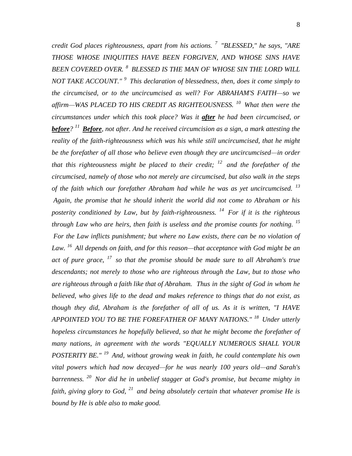*credit God places righteousness, apart from his actions. <sup>7</sup>"BLESSED," he says, "ARE THOSE WHOSE INIQUITIES HAVE BEEN FORGIVEN, AND WHOSE SINS HAVE BEEN COVERED OVER. <sup>8</sup>BLESSED IS THE MAN OF WHOSE SIN THE LORD WILL NOT TAKE ACCOUNT." <sup>9</sup>This declaration of blessedness, then, does it come simply to the circumcised, or to the uncircumcised as well? For ABRAHAM'S FAITH—so we affirm—WAS PLACED TO HIS CREDIT AS RIGHTEOUSNESS. <sup>10</sup>What then were the circumstances under which this took place? Was it after he had been circumcised, or before? <sup>11</sup>Before, not after. And he received circumcision as a sign, a mark attesting the reality of the faith-righteousness which was his while still uncircumcised, that he might be the forefather of all those who believe even though they are uncircumcised—in order that this righteousness might be placed to their credit; <sup>12</sup>and the forefather of the circumcised, namely of those who not merely are circumcised, but also walk in the steps of the faith which our forefather Abraham had while he was as yet uncircumcised. <sup>13</sup> Again, the promise that he should inherit the world did not come to Abraham or his posterity conditioned by Law, but by faith-righteousness. <sup>14</sup>For if it is the righteous through Law who are heirs, then faith is useless and the promise counts for nothing. <sup>15</sup> For the Law inflicts punishment; but where no Law exists, there can be no violation of Law. <sup>16</sup>All depends on faith, and for this reason—that acceptance with God might be an act of pure grace, <sup>17</sup>so that the promise should be made sure to all Abraham's true descendants; not merely to those who are righteous through the Law, but to those who are righteous through a faith like that of Abraham. Thus in the sight of God in whom he believed, who gives life to the dead and makes reference to things that do not exist, as though they did, Abraham is the forefather of all of us. As it is written, "I HAVE APPOINTED YOU TO BE THE FOREFATHER OF MANY NATIONS." <sup>18</sup>Under utterly hopeless circumstances he hopefully believed, so that he might become the forefather of many nations, in agreement with the words "EQUALLY NUMEROUS SHALL YOUR POSTERITY BE." <sup>19</sup>And, without growing weak in faith, he could contemplate his own vital powers which had now decayed—for he was nearly 100 years old—and Sarah's barrenness. <sup>20</sup>Nor did he in unbelief stagger at God's promise, but became mighty in faith, giving glory to God, <sup>21</sup>and being absolutely certain that whatever promise He is bound by He is able also to make good.*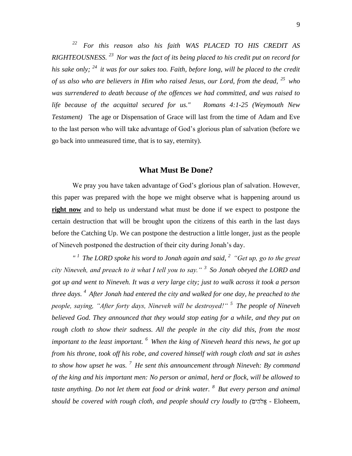*<sup>22</sup>For this reason also his faith WAS PLACED TO HIS CREDIT AS RIGHTEOUSNESS. <sup>23</sup>Nor was the fact of its being placed to his credit put on record for his sake only; <sup>24</sup>it was for our sakes too. Faith, before long, will be placed to the credit of us also who are believers in Him who raised Jesus, our Lord, from the dead, <sup>25</sup>who was surrendered to death because of the offences we had committed, and was raised to life because of the acquittal secured for us." Romans 4:1-25 (Weymouth New Testament)* The age or Dispensation of Grace will last from the time of Adam and Eve to the last person who will take advantage of God's glorious plan of salvation (before we go back into unmeasured time, that is to say, eternity).

#### **What Must Be Done?**

We pray you have taken advantage of God's glorious plan of salvation. However, this paper was prepared with the hope we might observe what is happening around us **right now** and to help us understand what must be done if we expect to postpone the certain destruction that will be brought upon the citizens of this earth in the last days before the Catching Up. We can postpone the destruction a little longer, just as the people of Nineveh postponed the destruction of their city during Jonah's day.

*" <sup>1</sup>The LORD spoke his word to Jonah again and said, <sup>2</sup>"Get up, go to the great city Nineveh, and preach to it what I tell you to say." <sup>3</sup>So Jonah obeyed the LORD and got up and went to Nineveh. It was a very large city; just to walk across it took a person three days. <sup>4</sup>After Jonah had entered the city and walked for one day, he preached to the people, saying, "After forty days, Nineveh will be destroyed!" <sup>5</sup>The people of Nineveh believed God. They announced that they would stop eating for a while, and they put on rough cloth to show their sadness. All the people in the city did this, from the most important to the least important. <sup>6</sup>When the king of Nineveh heard this news, he got up from his throne, took off his robe, and covered himself with rough cloth and sat in ashes to show how upset he was. <sup>7</sup>He sent this announcement through Nineveh: By command of the king and his important men: No person or animal, herd or flock, will be allowed to taste anything. Do not let them eat food or drink water. <sup>8</sup>But every person and animal should be covered with rough cloth, and people should cry loudly to (* - Eloheem,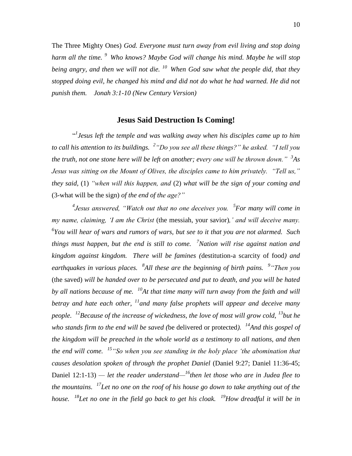The Three Mighty Ones) *God. Everyone must turn away from evil living and stop doing harm all the time. <sup>9</sup>Who knows? Maybe God will change his mind. Maybe he will stop being angry, and then we will not die. <sup>10</sup>When God saw what the people did, that they stopped doing evil, he changed his mind and did not do what he had warned. He did not punish them. Jonah 3:1-10 (New Century Version)*

### **Jesus Said Destruction Is Coming!**

" *1 Jesus left the temple and was walking away when his disciples came up to him to call his attention to its buildings. <sup>2</sup> "Do you see all these things?" he asked. "I tell you the truth, not one stone here will be left on another; every one will be thrown down." <sup>3</sup> As Jesus was sitting on the Mount of Olives, the disciples came to him privately. "Tell us," they said,* (1) *"when will this happen, and* (2) *what will be the sign of your coming and*  (3-what will be the sign) *of the end of the age?"*

<sup>4</sup> Jesus answered, "Watch out that no one deceives you. <sup>5</sup> For many will come in *my name, claiming, 'I am the Christ* (the messiah, your savior)*,' and will deceive many. 6 You will hear of wars and rumors of wars, but see to it that you are not alarmed. Such things must happen, but the end is still to come. <sup>7</sup>Nation will rise against nation and kingdom against kingdom. There will be famines (*destitution*-*a scarcity of food*) and earthquakes in various places. <sup>8</sup> All these are the beginning of birth pains. 9 "Then you*  (the saved) *will be handed over to be persecuted and put to death, and you will be hated by all nations because of me. <sup>10</sup>At that time many will turn away from the faith and will betray and hate each other, <sup>11</sup>and many false prophets will appear and deceive many people. <sup>12</sup>Because of the increase of wickedness, the love of most will grow cold, <sup>13</sup>but he who stands firm to the end will be saved (*be delivered or protected*). <sup>14</sup>And this gospel of the kingdom will be preached in the whole world as a testimony to all nations, and then the end will come. <sup>15</sup>"So when you see standing in the holy place 'the abomination that causes desolation spoken of through the prophet Daniel* (Daniel 9:27; Daniel 11:36-45; Daniel 12:1-13) *— let the reader understand— <sup>16</sup>then let those who are in Judea flee to the mountains. <sup>17</sup>Let no one on the roof of his house go down to take anything out of the house. <sup>18</sup>Let no one in the field go back to get his cloak. <sup>19</sup>How dreadful it will be in*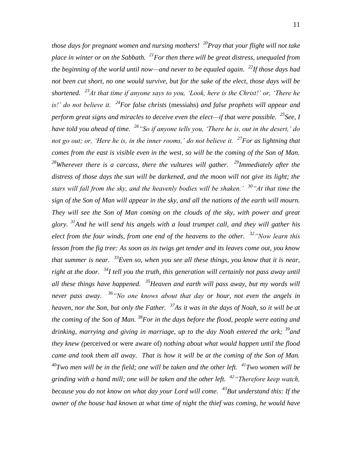*those days for pregnant women and nursing mothers! <sup>20</sup>Pray that your flight will not take place in winter or on the Sabbath. <sup>21</sup>For then there will be great distress, unequaled from the beginning of the world until now—and never to be equaled again. <sup>22</sup>If those days had not been cut short, no one would survive, but for the sake of the elect, those days will be shortened. <sup>23</sup>At that time if anyone says to you, 'Look, here is the Christ!' or, 'There he is!' do not believe it. <sup>24</sup>For false christs* (messiahs) *and false prophets will appear and perform great signs and miracles to deceive even the elect—if that were possible. <sup>25</sup>See, I have told you ahead of time. <sup>26</sup>"So if anyone tells you, 'There he is, out in the desert,' do not go out; or, 'Here he is, in the inner rooms,' do not believe it. <sup>27</sup>For as lightning that comes from the east is visible even in the west, so will be the coming of the Son of Man. <sup>28</sup>Wherever there is a carcass, there the vultures will gather. <sup>29</sup>Immediately after the distress of those days the sun will be darkened, and the moon will not give its light; the stars will fall from the sky, and the heavenly bodies will be shaken.' <sup>30</sup>"At that time the sign of the Son of Man will appear in the sky, and all the nations of the earth will mourn. They will see the Son of Man coming on the clouds of the sky, with power and great glory. <sup>31</sup>And he will send his angels with a loud trumpet call, and they will gather his elect from the four winds, from one end of the heavens to the other. <sup>32</sup>"Now learn this lesson from the fig tree: As soon as its twigs get tender and its leaves come out, you know that summer is near. <sup>33</sup>Even so, when you see all these things, you know that it is near, right at the door. <sup>34</sup>I tell you the truth, this generation will certainly not pass away until all these things have happened. <sup>35</sup>Heaven and earth will pass away, but my words will never pass away. <sup>36</sup>"No one knows about that day or hour, not even the angels in heaven, nor the Son, but only the Father. <sup>37</sup>As it was in the days of Noah, so it will be at the coming of the Son of Man. <sup>38</sup>For in the days before the flood, people were eating and drinking, marrying and giving in marriage, up to the day Noah entered the ark; <sup>39</sup>and they knew (*perceived or were aware of) *nothing about what would happen until the flood came and took them all away. That is how it will be at the coming of the Son of Man. <sup>40</sup>Two men will be in the field; one will be taken and the other left. <sup>41</sup>Two women will be grinding with a hand mill; one will be taken and the other left. <sup>42</sup>"Therefore keep watch, because you do not know on what day your Lord will come. <sup>43</sup>But understand this: If the owner of the house had known at what time of night the thief was coming, he would have*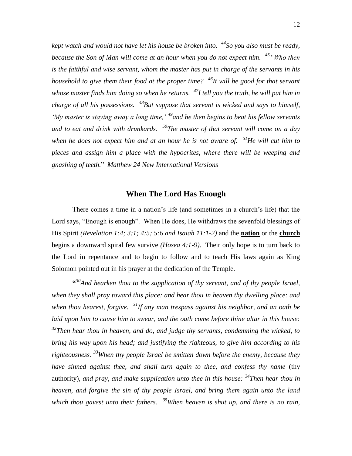*kept watch and would not have let his house be broken into. <sup>44</sup>So you also must be ready, because the Son of Man will come at an hour when you do not expect him. <sup>45</sup>"Who then is the faithful and wise servant, whom the master has put in charge of the servants in his household to give them their food at the proper time? <sup>46</sup>It will be good for that servant whose master finds him doing so when he returns. <sup>47</sup>I tell you the truth, he will put him in charge of all his possessions. <sup>48</sup>But suppose that servant is wicked and says to himself, 'My master is staying away a long time,' <sup>49</sup>and he then begins to beat his fellow servants and to eat and drink with drunkards. <sup>50</sup>The master of that servant will come on a day when he does not expect him and at an hour he is not aware of. <sup>51</sup>He will cut him to pieces and assign him a place with the hypocrites, where there will be weeping and gnashing of teeth.*" *Matthew 24 New International Versions*

### **When The Lord Has Enough**

There comes a time in a nation's life (and sometimes in a church's life) that the Lord says, "Enough is enough". When He does, He withdraws the sevenfold blessings of His Spirit *(Revelation 1:4; 3:1; 4:5; 5:6 and Isaiah 11:1-2)* and the **nation** or the **church** begins a downward spiral few survive *(Hosea 4:1-9)*. Their only hope is to turn back to the Lord in repentance and to begin to follow and to teach His laws again as King Solomon pointed out in his prayer at the dedication of the Temple.

**"** *<sup>30</sup>And hearken thou to the supplication of thy servant, and of thy people Israel, when they shall pray toward this place: and hear thou in heaven thy dwelling place: and when thou hearest, forgive. <sup>31</sup>If any man trespass against his neighbor, and an oath be laid upon him to cause him to swear, and the oath come before thine altar in this house: <sup>32</sup>Then hear thou in heaven, and do, and judge thy servants, condemning the wicked, to bring his way upon his head; and justifying the righteous, to give him according to his righteousness. <sup>33</sup>When thy people Israel be smitten down before the enemy, because they have sinned against thee, and shall turn again to thee, and confess thy name* (thy authority), *and pray, and make supplication unto thee in this house: <sup>34</sup>Then hear thou in heaven, and forgive the sin of thy people Israel, and bring them again unto the land which thou gavest unto their fathers. <sup>35</sup>When heaven is shut up, and there is no rain,*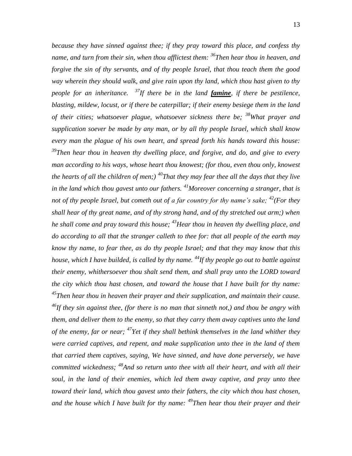*because they have sinned against thee; if they pray toward this place, and confess thy name, and turn from their sin, when thou afflictest them: <sup>36</sup>Then hear thou in heaven, and forgive the sin of thy servants, and of thy people Israel, that thou teach them the good way wherein they should walk, and give rain upon thy land, which thou hast given to thy people for an inheritance. <sup>37</sup>If there be in the land famine, if there be pestilence, blasting, mildew, locust, or if there be caterpillar; if their enemy besiege them in the land of their cities; whatsoever plague, whatsoever sickness there be; <sup>38</sup>What prayer and supplication soever be made by any man, or by all thy people Israel, which shall know every man the plague of his own heart, and spread forth his hands toward this house: <sup>39</sup>Then hear thou in heaven thy dwelling place, and forgive, and do, and give to every man according to his ways, whose heart thou knowest; (for thou, even thou only, knowest the hearts of all the children of men;) <sup>40</sup>That they may fear thee all the days that they live in the land which thou gavest unto our fathers. <sup>41</sup>Moreover concerning a stranger, that is not of thy people Israel, but cometh out of a far country for thy name's sake; <sup>42</sup>(For they shall hear of thy great name, and of thy strong hand, and of thy stretched out arm;) when he shall come and pray toward this house; <sup>43</sup>Hear thou in heaven thy dwelling place, and do according to all that the stranger calleth to thee for: that all people of the earth may know thy name, to fear thee, as do thy people Israel; and that they may know that this house, which I have builded, is called by thy name. <sup>44</sup>If thy people go out to battle against their enemy, whithersoever thou shalt send them, and shall pray unto the LORD toward the city which thou hast chosen, and toward the house that I have built for thy name: <sup>45</sup>Then hear thou in heaven their prayer and their supplication, and maintain their cause. <sup>46</sup>If they sin against thee, (for there is no man that sinneth not,) and thou be angry with them, and deliver them to the enemy, so that they carry them away captives unto the land of the enemy, far or near; <sup>47</sup>Yet if they shall bethink themselves in the land whither they were carried captives, and repent, and make supplication unto thee in the land of them that carried them captives, saying, We have sinned, and have done perversely, we have committed wickedness; <sup>48</sup>And so return unto thee with all their heart, and with all their soul, in the land of their enemies, which led them away captive, and pray unto thee toward their land, which thou gavest unto their fathers, the city which thou hast chosen, and the house which I have built for thy name: <sup>49</sup>Then hear thou their prayer and their*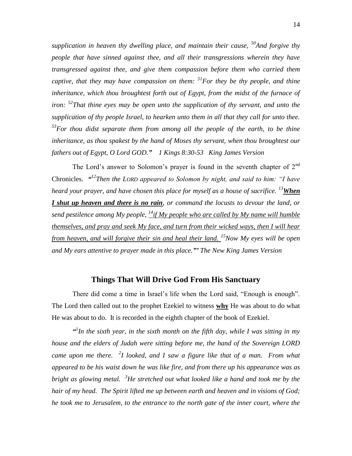*supplication in heaven thy dwelling place, and maintain their cause, <sup>50</sup>And forgive thy people that have sinned against thee, and all their transgressions wherein they have transgressed against thee, and give them compassion before them who carried them captive, that they may have compassion on them: <sup>51</sup>For they be thy people, and thine inheritance, which thou broughtest forth out of Egypt, from the midst of the furnace of iron: <sup>52</sup>That thine eyes may be open unto the supplication of thy servant, and unto the supplication of thy people Israel, to hearken unto them in all that they call for unto thee. <sup>53</sup>For thou didst separate them from among all the people of the earth, to be thine inheritance, as thou spakest by the hand of Moses thy servant, when thou broughtest our fathers out of Egypt, O Lord GOD." 1 Kings 8:30-53 King James Version*

The Lord's answer to Solomon's prayer is found in the seventh chapter of  $2^{nd}$ Chronicles. *" <sup>12</sup>Then the LORD appeared to Solomon by night, and said to him: "I have heard your prayer, and have chosen this place for myself as a house of sacrifice. <sup>13</sup>When I shut up heaven and there is no rain, or command the locusts to devour the land, or send pestilence among My people, <sup>14</sup>if My people who are called by My name will humble themselves, and pray and seek My face, and turn from their wicked ways, then I will hear from heaven, and will forgive their sin and heal their land. <sup>15</sup>Now My eyes will be open and My ears attentive to prayer made in this place."' The New King James Version*

### **Things That Will Drive God From His Sanctuary**

There did come a time in Israel's life when the Lord said, "Enough is enough". The Lord then called out to the prophet Ezekiel to witness **why** He was about to do what He was about to do. It is recorded in the eighth chapter of the book of Ezekiel.

<sup>*a*</sup>In the sixth year, in the sixth month on the fifth day, while I was sitting in my *house and the elders of Judah were sitting before me, the hand of the Sovereign LORD came upon me there. <sup>2</sup> I looked, and I saw a figure like that of a man. From what appeared to be his waist down he was like fire, and from there up his appearance was as bright as glowing metal. <sup>3</sup>He stretched out what looked like a hand and took me by the hair of my head. The Spirit lifted me up between earth and heaven and in visions of God; he took me to Jerusalem, to the entrance to the north gate of the inner court, where the*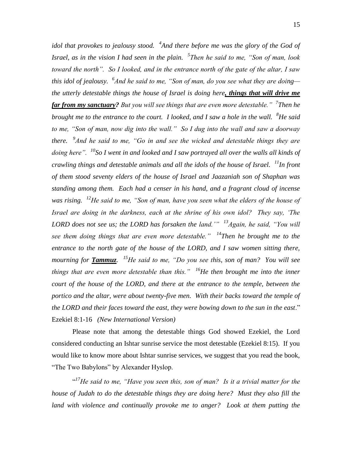*idol that provokes to jealousy stood. <sup>4</sup> And there before me was the glory of the God of Israel, as in the vision I had seen in the plain. 5 Then he said to me, "Son of man, look toward the north". So I looked, and in the entrance north of the gate of the altar, I saw this idol of jealousy. 6 And he said to me, "Son of man, do you see what they are doing the utterly detestable things the house of Israel is doing here, things that will drive me far from my sanctuary? But you will see things that are even more detestable." 7 Then he brought me to the entrance to the court. I looked, and I saw a hole in the wall. <sup>8</sup>He said to me, "Son of man, now dig into the wall." So I dug into the wall and saw a doorway there. 9 And he said to me, "Go in and see the wicked and detestable things they are doing here". <sup>10</sup>So I went in and looked and I saw portrayed all over the walls all kinds of crawling things and detestable animals and all the idols of the house of Israel. <sup>11</sup>In front of them stood seventy elders of the house of Israel and Jaazaniah son of Shaphan was standing among them. Each had a censer in his hand, and a fragrant cloud of incense*  was rising. <sup>12</sup>*He said to me, "Son of man, have you seen what the elders of the house of Israel are doing in the darkness, each at the shrine of his own idol? They say, 'The LORD does not see us; the LORD has forsaken the land.'" <sup>13</sup>Again, he said, "You will see them doing things that are even more detestable." <sup>14</sup>Then he brought me to the entrance to the north gate of the house of the LORD, and I saw women sitting there, mourning for Tammuz. <sup>15</sup>He said to me, "Do you see this, son of man? You will see things that are even more detestable than this." <sup>16</sup>He then brought me into the inner court of the house of the LORD, and there at the entrance to the temple, between the portico and the altar, were about twenty-five men. With their backs toward the temple of the LORD and their faces toward the east, they were bowing down to the sun in the east*." Ezekiel 8:1-16 *(New International Version)* 

Please note that among the detestable things God showed Ezekiel, the Lord considered conducting an Ishtar sunrise service the most detestable (Ezekiel 8:15). If you would like to know more about Ishtar sunrise services, we suggest that you read the book, "The Two Babylons" by Alexander Hyslop.

<sup>417</sup>He said to me, "Have you seen this, son of man? Is it a trivial matter for the *house of Judah to do the detestable things they are doing here? Must they also fill the*  land with violence and continually provoke me to anger? Look at them putting the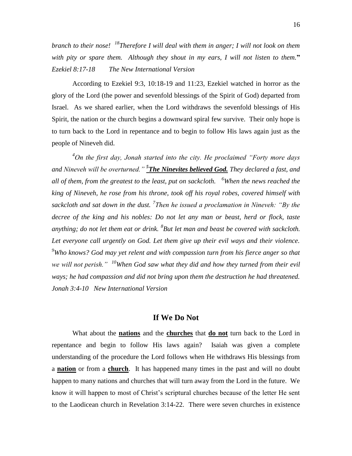*branch to their nose! <sup>18</sup>Therefore I will deal with them in anger; I will not look on them with pity or spare them. Although they shout in my ears, I will not listen to them.***"**  *Ezekiel 8:17-18 The New International Version*

According to Ezekiel 9:3, 10:18-19 and 11:23, Ezekiel watched in horror as the glory of the Lord (the power and sevenfold blessings of the Spirit of God) departed from Israel. As we shared earlier, when the Lord withdraws the sevenfold blessings of His Spirit, the nation or the church begins a downward spiral few survive. Their only hope is to turn back to the Lord in repentance and to begin to follow His laws again just as the people of Nineveh did.

*<sup>4</sup>On the first day, Jonah started into the city. He proclaimed "Forty more days*  and Nineveh will be overturned." <sup>5</sup>**The Ninevites believed God.** They declared a fast, and *all of them, from the greatest to the least, put on sackcloth. <sup>6</sup>When the news reached the king of Nineveh, he rose from his throne, took off his royal robes, covered himself with sackcloth and sat down in the dust. <sup>7</sup> Then he issued a proclamation in Nineveh: "By the decree of the king and his nobles: Do not let any man or beast, herd or flock, taste anything; do not let them eat or drink. <sup>8</sup> But let man and beast be covered with sackcloth. Let everyone call urgently on God. Let them give up their evil ways and their violence. <sup>9</sup>Who knows? God may yet relent and with compassion turn from his fierce anger so that we will not perish." <sup>10</sup>When God saw what they did and how they turned from their evil ways; he had compassion and did not bring upon them the destruction he had threatened. Jonah 3:4-10 New International Version*

### **If We Do Not**

What about the **nations** and the **churches** that **do not** turn back to the Lord in repentance and begin to follow His laws again? Isaiah was given a complete understanding of the procedure the Lord follows when He withdraws His blessings from a **nation** or from a **church**. It has happened many times in the past and will no doubt happen to many nations and churches that will turn away from the Lord in the future. We know it will happen to most of Christ's scriptural churches because of the letter He sent to the Laodicean church in Revelation 3:14-22. There were seven churches in existence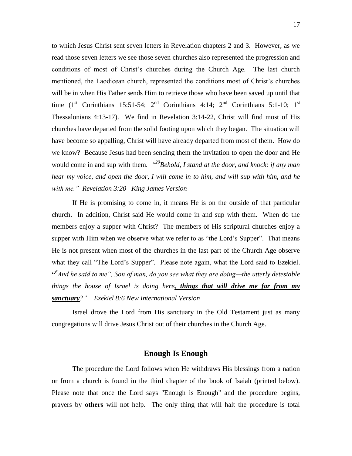to which Jesus Christ sent seven letters in Revelation chapters 2 and 3. However, as we read those seven letters we see those seven churches also represented the progression and conditions of most of Christ's churches during the Church Age. The last church mentioned, the Laodicean church, represented the conditions most of Christ's churches will be in when His Father sends Him to retrieve those who have been saved up until that time  $(1<sup>st</sup> Corinthians 15:51-54; 2<sup>nd</sup> Corinthians 4:14; 2<sup>nd</sup> Corinthians 5:1-10; 1<sup>st</sup>$ Thessalonians 4:13-17). We find in Revelation 3:14-22, Christ will find most of His churches have departed from the solid footing upon which they began. The situation will have become so appalling, Christ will have already departed from most of them. How do we know? Because Jesus had been sending them the invitation to open the door and He would come in and sup with them*. "<sup>20</sup>Behold, I stand at the door, and knock: if any man hear my voice, and open the door, I will come in to him, and will sup with him, and he with me." Revelation 3:20 King James Version*

If He is promising to come in, it means He is on the outside of that particular church. In addition, Christ said He would come in and sup with them. When do the members enjoy a supper with Christ? The members of His scriptural churches enjoy a supper with Him when we observe what we refer to as "the Lord's Supper". That means He is not present when most of the churches in the last part of the Church Age observe what they call "The Lord's Supper". Please note again, what the Lord said to Ezekiel. **"** *6 And he said to me", Son of man, do you see what they are doing—the utterly detestable things the house of Israel is doing here, things that will drive me far from my sanctuary?" Ezekiel 8:6 New International Version*

Israel drove the Lord from His sanctuary in the Old Testament just as many congregations will drive Jesus Christ out of their churches in the Church Age.

### **Enough Is Enough**

The procedure the Lord follows when He withdraws His blessings from a nation or from a church is found in the third chapter of the book of Isaiah (printed below). Please note that once the Lord says "Enough is Enough" and the procedure begins, prayers by **others** will not help. The only thing that will halt the procedure is total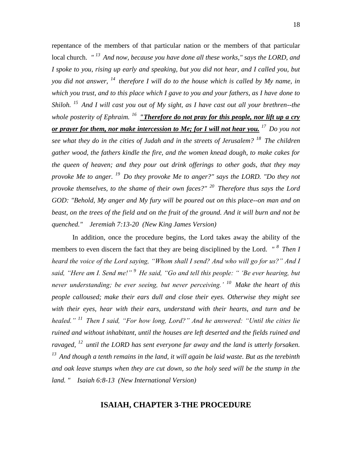repentance of the members of that particular nation or the members of that particular local church. *" <sup>13</sup>And now, because you have done all these works," says the LORD, and I spoke to you, rising up early and speaking, but you did not hear, and I called you, but you did not answer, <sup>14</sup>therefore I will do to the house which is called by My name, in which you trust, and to this place which I gave to you and your fathers, as I have done to Shiloh. <sup>15</sup>And I will cast you out of My sight, as I have cast out all your brethren--the whole posterity of Ephraim. <sup>16</sup>"Therefore do not pray for this people, nor lift up a cry or prayer for them, nor make intercession to Me; for I will not hear you. <sup>17</sup>Do you not see what they do in the cities of Judah and in the streets of Jerusalem? <sup>18</sup>The children gather wood, the fathers kindle the fire, and the women knead dough, to make cakes for the queen of heaven; and they pour out drink offerings to other gods, that they may provoke Me to anger. <sup>19</sup>Do they provoke Me to anger?" says the LORD. "Do they not provoke themselves, to the shame of their own faces?" <sup>20</sup>Therefore thus says the Lord GOD: "Behold, My anger and My fury will be poured out on this place--on man and on beast, on the trees of the field and on the fruit of the ground. And it will burn and not be quenched." Jeremiah 7:13-20 (New King James Version)*

In addition, once the procedure begins, the Lord takes away the ability of the members to even discern the fact that they are being disciplined by the Lord. *" <sup>8</sup>Then I heard the voice of the Lord saying, "Whom shall I send? And who will go for us?" And I said, "Here am I. Send me!" <sup>9</sup>He said, "Go and tell this people: " 'Be ever hearing, but never understanding; be ever seeing, but never perceiving.' <sup>10</sup>Make the heart of this people calloused; make their ears dull and close their eyes. Otherwise they might see with their eyes, hear with their ears, understand with their hearts, and turn and be healed." <sup>11</sup>Then I said, "For how long, Lord?" And he answered: "Until the cities lie ruined and without inhabitant, until the houses are left deserted and the fields ruined and ravaged, <sup>12</sup>until the LORD has sent everyone far away and the land is utterly forsaken. <sup>13</sup>And though a tenth remains in the land, it will again be laid waste. But as the terebinth and oak leave stumps when they are cut down, so the holy seed will be the stump in the land. " Isaiah 6:8-13 (New International Version)* 

### **ISAIAH, CHAPTER 3-THE PROCEDURE**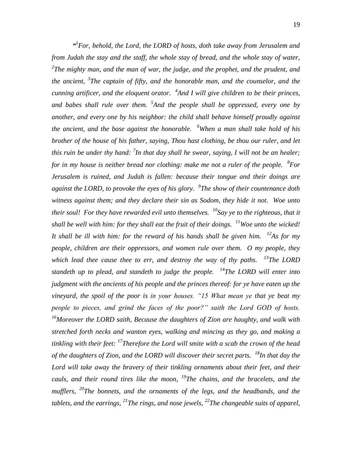<sup>*d*</sup> For, behold, the Lord, the LORD of hosts, doth take away from Jerusalem and *from Judah the stay and the staff, the whole stay of bread, and the whole stay of water, 2 The mighty man, and the man of war, the judge, and the prophet, and the prudent, and the ancient, <sup>3</sup> The captain of fifty, and the honorable man, and the counselor, and the cunning artificer, and the eloquent orator. <sup>4</sup> And I will give children to be their princes, and babes shall rule over them. <sup>5</sup> And the people shall be oppressed, every one by another, and every one by his neighbor: the child shall behave himself proudly against the ancient, and the base against the honorable. <sup>6</sup>When a man shall take hold of his brother of the house of his father, saying, Thou hast clothing, be thou our ruler, and let this ruin be under thy hand: <sup>7</sup> In that day shall he swear, saying, I will not be an healer; for in my house is neither bread nor clothing: make me not a ruler of the people. <sup>8</sup> For Jerusalem is ruined, and Judah is fallen: because their tongue and their doings are against the LORD, to provoke the eyes of his glory. 9 The show of their countenance doth witness against them; and they declare their sin as Sodom, they hide it not. Woe unto their soul! For they have rewarded evil unto themselves. <sup>10</sup>Say ye to the righteous, that it shall be well with him: for they shall eat the fruit of their doings. <sup>11</sup>Woe unto the wicked! It shall be ill with him: for the reward of his hands shall be given him. <sup>12</sup>As for my people, children are their oppressors, and women rule over them. O my people, they which lead thee cause thee to err, and destroy the way of thy paths. <sup>13</sup>The LORD standeth up to plead, and standeth to judge the people. <sup>14</sup>The LORD will enter into judgment with the ancients of his people and the princes thereof: for ye have eaten up the vineyard, the spoil of the poor is in your houses. "15 What mean ye that ye beat my people to pieces, and grind the faces of the poor?" saith the Lord GOD of hosts. <sup>16</sup>Moreover the LORD saith, Because the daughters of Zion are haughty, and walk with stretched forth necks and wanton eyes, walking and mincing as they go, and making a tinkling with their feet: <sup>17</sup>Therefore the Lord will smite with a scab the crown of the head of the daughters of Zion, and the LORD will discover their secret parts. <sup>18</sup>In that day the Lord will take away the bravery of their tinkling ornaments about their feet, and their cauls, and their round tires like the moon, <sup>19</sup>The chains, and the bracelets, and the mufflers, <sup>20</sup>The bonnets, and the ornaments of the legs, and the headbands, and the tablets, and the earrings, <sup>21</sup>The rings, and nose jewels, <sup>22</sup>The changeable suits of apparel,*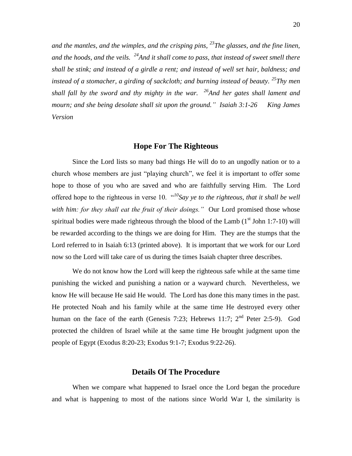*and the mantles, and the wimples, and the crisping pins, <sup>23</sup>The glasses, and the fine linen, and the hoods, and the veils. <sup>24</sup>And it shall come to pass, that instead of sweet smell there shall be stink; and instead of a girdle a rent; and instead of well set hair, baldness; and instead of a stomacher, a girding of sackcloth; and burning instead of beauty. <sup>25</sup>Thy men shall fall by the sword and thy mighty in the war. <sup>26</sup>And her gates shall lament and mourn; and she being desolate shall sit upon the ground." Isaiah 3:1-26 King James Version*

#### **Hope For The Righteous**

Since the Lord lists so many bad things He will do to an ungodly nation or to a church whose members are just "playing church", we feel it is important to offer some hope to those of you who are saved and who are faithfully serving Him. The Lord offered hope to the righteous in verse 10. "*<sup>10</sup>Say ye to the righteous, that it shall be well*  with him: for they shall eat the fruit of their doings." Our Lord promised those whose spiritual bodies were made righteous through the blood of the Lamb  $(1<sup>st</sup>$  John 1:7-10) will be rewarded according to the things we are doing for Him. They are the stumps that the Lord referred to in Isaiah 6:13 (printed above). It is important that we work for our Lord now so the Lord will take care of us during the times Isaiah chapter three describes.

We do not know how the Lord will keep the righteous safe while at the same time punishing the wicked and punishing a nation or a wayward church. Nevertheless, we know He will because He said He would. The Lord has done this many times in the past. He protected Noah and his family while at the same time He destroyed every other human on the face of the earth (Genesis 7:23; Hebrews 11:7;  $2<sup>nd</sup>$  Peter 2:5-9). God protected the children of Israel while at the same time He brought judgment upon the people of Egypt (Exodus 8:20-23; Exodus 9:1-7; Exodus 9:22-26).

### **Details Of The Procedure**

When we compare what happened to Israel once the Lord began the procedure and what is happening to most of the nations since World War I, the similarity is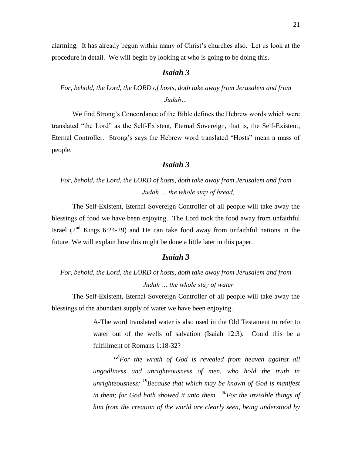alarming. It has already begun within many of Christ's churches also. Let us look at the procedure in detail. We will begin by looking at who is going to be doing this.

### *Isaiah 3*

# *For, behold, the Lord, the LORD of hosts, doth take away from Jerusalem and from Judah…*

We find Strong's Concordance of the Bible defines the Hebrew words which were translated "the Lord" as the Self-Existent, Eternal Sovereign, that is, the Self-Existent, Eternal Controller. Strong's says the Hebrew word translated "Hosts" mean a mass of people.

### *Isaiah 3*

# *For, behold, the Lord, the LORD of hosts, doth take away from Jerusalem and from Judah … the whole stay of bread,*

The Self-Existent, Eternal Sovereign Controller of all people will take away the blessings of food we have been enjoying. The Lord took the food away from unfaithful Israel  $(2^{nd}$  Kings 6:24-29) and He can take food away from unfaithful nations in the future. We will explain how this might be done a little later in this paper.

### *Isaiah 3*

# *For, behold, the Lord, the LORD of hosts, doth take away from Jerusalem and from Judah … the whole stay of water*

The Self-Existent, Eternal Sovereign Controller of all people will take away the blessings of the abundant supply of water we have been enjoying.

> A-The word translated water is also used in the Old Testament to refer to water out of the wells of salvation (Isaiah 12:3). Could this be a fulfillment of Romans 1:18-32?

> **"** *8 For the wrath of God is revealed from heaven against all ungodliness and unrighteousness of men, who hold the truth in unrighteousness; <sup>19</sup>Because that which may be known of God is manifest in them; for God hath showed it unto them. <sup>20</sup>For the invisible things of him from the creation of the world are clearly seen, being understood by*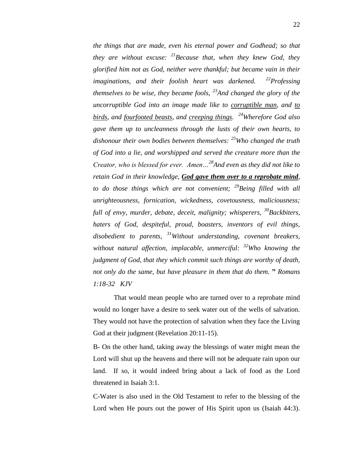*the things that are made, even his eternal power and Godhead; so that they are without excuse: <sup>21</sup>Because that, when they knew God, they glorified him not as God, neither were thankful; but became vain in their imaginations, and their foolish heart was darkened. <sup>22</sup>Professing themselves to be wise, they became fools, <sup>23</sup>And changed the glory of the uncorruptible God into an image made like to corruptible man, and to birds, and fourfooted beasts, and creeping things. <sup>24</sup>Wherefore God also gave them up to uncleanness through the lusts of their own hearts, to dishonour their own bodies between themselves: <sup>25</sup>Who changed the truth of God into a lie, and worshipped and served the creature more than the Creator, who is blessed for ever. Amen…<sup>28</sup>And even as they did not like to retain God in their knowledge, God gave them over to a reprobate mind, to do those things which are not convenient; <sup>29</sup>Being filled with all unrighteousness, fornication, wickedness, covetousness, maliciousness; full of envy, murder, debate, deceit, malignity; whisperers, <sup>30</sup>Backbiters, haters of God, despiteful, proud, boasters, inventors of evil things, disobedient to parents, <sup>31</sup>Without understanding, covenant breakers, without natural affection, implacable, unmerciful: <sup>32</sup>Who knowing the judgment of God, that they which commit such things are worthy of death, not only do the same, but have pleasure in them that do them.* **"** *Romans 1:18-32 KJV*

That would mean people who are turned over to a reprobate mind would no longer have a desire to seek water out of the wells of salvation. They would not have the protection of salvation when they face the Living God at their judgment (Revelation 20:11-15).

B- On the other hand, taking away the blessings of water might mean the Lord will shut up the heavens and there will not be adequate rain upon our land. If so, it would indeed bring about a lack of food as the Lord threatened in Isaiah 3:1.

C-Water is also used in the Old Testament to refer to the blessing of the Lord when He pours out the power of His Spirit upon us (Isaiah 44:3).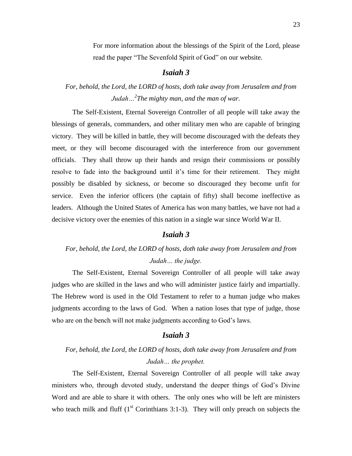For more information about the blessings of the Spirit of the Lord, please read the paper "The Sevenfold Spirit of God" on our website.

### *Isaiah 3*

# *For, behold, the Lord, the LORD of hosts, doth take away from Jerusalem and from Judah…<sup>2</sup> The mighty man, and the man of war.*

The Self-Existent, Eternal Sovereign Controller of all people will take away the blessings of generals, commanders, and other military men who are capable of bringing victory. They will be killed in battle, they will become discouraged with the defeats they meet, or they will become discouraged with the interference from our government officials. They shall throw up their hands and resign their commissions or possibly resolve to fade into the background until it's time for their retirement. They might possibly be disabled by sickness, or become so discouraged they become unfit for service. Even the inferior officers (the captain of fifty) shall become ineffective as leaders. Although the United States of America has won many battles, we have not had a decisive victory over the enemies of this nation in a single war since World War II.

### *Isaiah 3*

# *For, behold, the Lord, the LORD of hosts, doth take away from Jerusalem and from Judah… the judge.*

The Self-Existent, Eternal Sovereign Controller of all people will take away judges who are skilled in the laws and who will administer justice fairly and impartially. The Hebrew word is used in the Old Testament to refer to a human judge who makes judgments according to the laws of God. When a nation loses that type of judge, those who are on the bench will not make judgments according to God's laws.

### *Isaiah 3*

# *For, behold, the Lord, the LORD of hosts, doth take away from Jerusalem and from Judah… the prophet.*

The Self-Existent, Eternal Sovereign Controller of all people will take away ministers who, through devoted study, understand the deeper things of God's Divine Word and are able to share it with others. The only ones who will be left are ministers who teach milk and fluff  $(1<sup>st</sup> Corinthians 3:1-3)$ . They will only preach on subjects the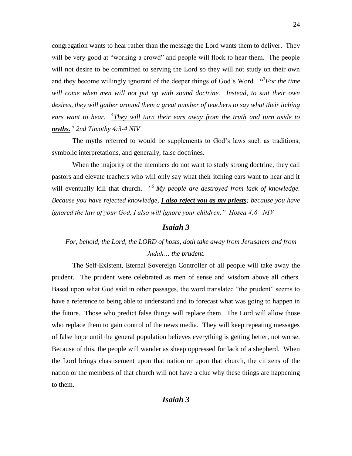congregation wants to hear rather than the message the Lord wants them to deliver. They will be very good at "working a crowd" and people will flock to hear them. The people will not desire to be committed to serving the Lord so they will not study on their own and they become willingly ignorant of the deeper things of God's Word.  $\mathbf{H}^3$  *S* For the time *will come when men will not put up with sound doctrine. Instead, to suit their own desires, they will gather around them a great number of teachers to say what their itching ears want to hear. <sup>4</sup> They will turn their ears away from the truth and turn aside to myths." 2nd Timothy 4:3-4 NIV*

The myths referred to would be supplements to God's laws such as traditions, symbolic interpretations, and generally, false doctrines.

When the majority of the members do not want to study strong doctrine, they call pastors and elevate teachers who will only say what their itching ears want to hear and it will eventually kill that church. *" <sup>6</sup>My people are destroyed from lack of knowledge. Because you have rejected knowledge, I also reject you as my priests; because you have ignored the law of your God, I also will ignore your children." Hosea 4:6 NIV*

#### *Isaiah 3*

# *For, behold, the Lord, the LORD of hosts, doth take away from Jerusalem and from Judah… the prudent.*

The Self-Existent, Eternal Sovereign Controller of all people will take away the prudent. The prudent were celebrated as men of sense and wisdom above all others. Based upon what God said in other passages, the word translated "the prudent" seems to have a reference to being able to understand and to forecast what was going to happen in the future. Those who predict false things will replace them. The Lord will allow those who replace them to gain control of the news media. They will keep repeating messages of false hope until the general population believes everything is getting better, not worse. Because of this, the people will wander as sheep oppressed for lack of a shepherd. When the Lord brings chastisement upon that nation or upon that church, the citizens of the nation or the members of that church will not have a clue why these things are happening to them.

### *Isaiah 3*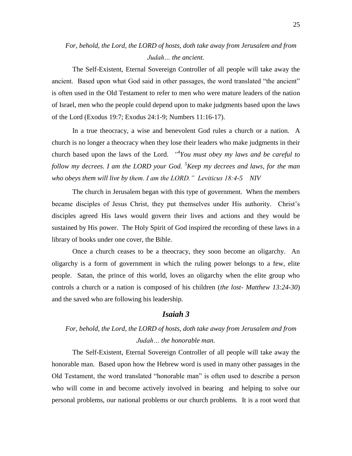# *For, behold, the Lord, the LORD of hosts, doth take away from Jerusalem and from Judah… the ancient.*

The Self-Existent, Eternal Sovereign Controller of all people will take away the ancient. Based upon what God said in other passages, the word translated "the ancient" is often used in the Old Testament to refer to men who were mature leaders of the nation of Israel, men who the people could depend upon to make judgments based upon the laws of the Lord (Exodus 19:7; Exodus 24:1-9; Numbers 11:16-17).

In a true theocracy, a wise and benevolent God rules a church or a nation. A church is no longer a theocracy when they lose their leaders who make judgments in their church based upon the laws of the Lord. *" 4 You must obey my laws and be careful to follow my decrees. I am the LORD your God. <sup>5</sup>Keep my decrees and laws, for the man who obeys them will live by them. I am the LORD." Leviticus 18:4-5 NIV*

The church in Jerusalem began with this type of government. When the members became disciples of Jesus Christ, they put themselves under His authority. Christ's disciples agreed His laws would govern their lives and actions and they would be sustained by His power. The Holy Spirit of God inspired the recording of these laws in a library of books under one cover, the Bible.

Once a church ceases to be a theocracy, they soon become an oligarchy. An oligarchy is a form of government in which the ruling power belongs to a few, elite people. Satan, the prince of this world, loves an oligarchy when the elite group who controls a church or a nation is composed of his children (*the lost- Matthew 13:24-30*) and the saved who are following his leadership.

### *Isaiah 3*

# *For, behold, the Lord, the LORD of hosts, doth take away from Jerusalem and from Judah… the honorable man.*

The Self-Existent, Eternal Sovereign Controller of all people will take away the honorable man. Based upon how the Hebrew word is used in many other passages in the Old Testament, the word translated "honorable man" is often used to describe a person who will come in and become actively involved in bearing and helping to solve our personal problems, our national problems or our church problems. It is a root word that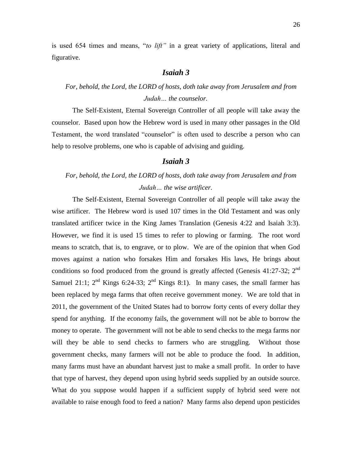is used 654 times and means, "*to lift"* in a great variety of applications, literal and figurative.

### *Isaiah 3*

# *For, behold, the Lord, the LORD of hosts, doth take away from Jerusalem and from Judah… the counselor.*

The Self-Existent, Eternal Sovereign Controller of all people will take away the counselor. Based upon how the Hebrew word is used in many other passages in the Old Testament, the word translated "counselor" is often used to describe a person who can help to resolve problems, one who is capable of advising and guiding.

### *Isaiah 3*

# *For, behold, the Lord, the LORD of hosts, doth take away from Jerusalem and from Judah… the wise artificer.*

The Self-Existent, Eternal Sovereign Controller of all people will take away the wise artificer. The Hebrew word is used 107 times in the Old Testament and was only translated artificer twice in the King James Translation (Genesis 4:22 and Isaiah 3:3). However, we find it is used 15 times to refer to plowing or farming. The root word means to scratch, that is, to engrave, or to plow. We are of the opinion that when God moves against a nation who forsakes Him and forsakes His laws, He brings about conditions so food produced from the ground is greatly affected (Genesis 41:27-32; 2<sup>nd</sup> Samuel 21:1;  $2^{nd}$  Kings 6:24-33;  $2^{nd}$  Kings 8:1). In many cases, the small farmer has been replaced by mega farms that often receive government money. We are told that in 2011, the government of the United States had to borrow forty cents of every dollar they spend for anything. If the economy fails, the government will not be able to borrow the money to operate. The government will not be able to send checks to the mega farms nor will they be able to send checks to farmers who are struggling. Without those government checks, many farmers will not be able to produce the food. In addition, many farms must have an abundant harvest just to make a small profit. In order to have that type of harvest, they depend upon using hybrid seeds supplied by an outside source. What do you suppose would happen if a sufficient supply of hybrid seed were not available to raise enough food to feed a nation? Many farms also depend upon pesticides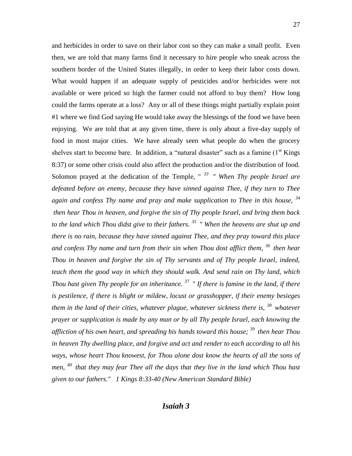and herbicides in order to save on their labor cost so they can make a small profit. Even then, we are told that many farms find it necessary to hire people who sneak across the southern border of the United States illegally, in order to keep their labor costs down. What would happen if an adequate supply of pesticides and/or herbicides were not available or were priced so high the farmer could not afford to buy them? How long could the farms operate at a loss? Any or all of these things might partially explain point #1 where we find God saying He would take away the blessings of the food we have been enjoying. We are told that at any given time, there is only about a five-day supply of food in most major cities. We have already seen what people do when the grocery shelves start to become bare. In addition, a "natural disaster" such as a famine  $(1<sup>st</sup>$  Kings 8:37) or some other crisis could also affect the production and/or the distribution of food. Solomon prayed at the dedication of the Temple, " *<sup>33</sup>" When Thy people Israel are defeated before an enemy, because they have sinned against Thee, if they turn to Thee again and confess Thy name and pray and make supplication to Thee in this house, <sup>34</sup> then hear Thou in heaven, and forgive the sin of Thy people Israel, and bring them back to the land which Thou didst give to their fathers. <sup>35</sup>" When the heavens are shut up and there is no rain, because they have sinned against Thee, and they pray toward this place and confess Thy name and turn from their sin when Thou dost afflict them, <sup>36</sup>then hear Thou in heaven and forgive the sin of Thy servants and of Thy people Israel, indeed, teach them the good way in which they should walk. And send rain on Thy land, which Thou hast given Thy people for an inheritance. <sup>37</sup>" If there is famine in the land, if there is pestilence, if there is blight or mildew, locust or grasshopper, if their enemy besieges them in the land of their cities, whatever plague, whatever sickness there is, <sup>38</sup>whatever prayer or supplication is made by any man or by all Thy people Israel, each knowing the affliction of his own heart, and spreading his hands toward this house; <sup>39</sup>then hear Thou in heaven Thy dwelling place, and forgive and act and render to each according to all his ways, whose heart Thou knowest, for Thou alone dost know the hearts of all the sons of men, <sup>40</sup>that they may fear Thee all the days that they live in the land which Thou hast given to our fathers." 1 Kings 8:33-40 (New American Standard Bible)*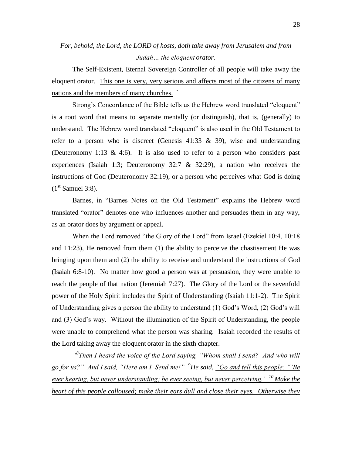# *For, behold, the Lord, the LORD of hosts, doth take away from Jerusalem and from Judah… the eloquent orator.*

The Self-Existent, Eternal Sovereign Controller of all people will take away the eloquent orator.This one is very, very serious and affects most of the citizens of many nations and the members of many churches. `

Strong's Concordance of the Bible tells us the Hebrew word translated "eloquent" is a root word that means to separate mentally (or distinguish), that is, (generally) to understand. The Hebrew word translated "eloquent" is also used in the Old Testament to refer to a person who is discreet (Genesis  $41:33 \& 39$ ), wise and understanding (Deuteronomy 1:13 & 4:6). It is also used to refer to a person who considers past experiences (Isaiah 1:3; Deuteronomy 32:7  $\&$  32:29), a nation who receives the instructions of God (Deuteronomy 32:19), or a person who perceives what God is doing  $(1<sup>st</sup> Samuel 3:8).$ 

Barnes, in "Barnes Notes on the Old Testament" explains the Hebrew word translated "orator" denotes one who influences another and persuades them in any way, as an orator does by argument or appeal.

When the Lord removed "the Glory of the Lord" from Israel (Ezekiel 10:4, 10:18 and 11:23), He removed from them (1) the ability to perceive the chastisement He was bringing upon them and (2) the ability to receive and understand the instructions of God (Isaiah 6:8-10). No matter how good a person was at persuasion, they were unable to reach the people of that nation (Jeremiah 7:27). The Glory of the Lord or the sevenfold power of the Holy Spirit includes the Spirit of Understanding (Isaiah 11:1-2). The Spirit of Understanding gives a person the ability to understand (1) God's Word, (2) God's will and (3) God's way. Without the illumination of the Spirit of Understanding, the people were unable to comprehend what the person was sharing. Isaiah recorded the results of the Lord taking away the eloquent orator in the sixth chapter.

<sup>"8</sup>Then I heard the voice of the Lord saying, "Whom shall I send? And who will *go for us?" And I said, "Here am I. Send me!" <sup>9</sup>He said, "Go and tell this people: "'Be ever hearing, but never understanding; be ever seeing, but never perceiving.' <sup>10</sup>Make the heart of this people calloused; make their ears dull and close their eyes. Otherwise they*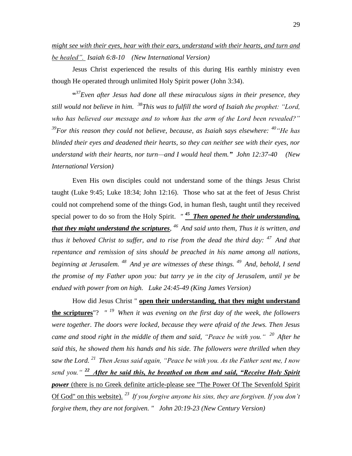*might see with their eyes, hear with their ears, understand with their hearts, and turn and be healed". Isaiah 6:8-10 (New International Version)* 

Jesus Christ experienced the results of this during His earthly ministry even though He operated through unlimited Holy Spirit power (John 3:34).

**"** *37 Even after Jesus had done all these miraculous signs in their presence, they still would not believe in him. <sup>38</sup>This was to fulfill the word of Isaiah the prophet: "Lord, who has believed our message and to whom has the arm of the Lord been revealed?" <sup>39</sup>For this reason they could not believe, because, as Isaiah says elsewhere: <sup>40</sup>"He has blinded their eyes and deadened their hearts, so they can neither see with their eyes, nor understand with their hearts, nor turn—and I would heal them." John 12:37-40 (New International Version)* 

Even His own disciples could not understand some of the things Jesus Christ taught (Luke 9:45; Luke 18:34; John 12:16). Those who sat at the feet of Jesus Christ could not comprehend some of the things God, in human flesh, taught until they received special power to do so from the Holy Spirit. *" <sup>45</sup>Then opened he their understanding, that they might understand the scriptures, <sup>46</sup>And said unto them, Thus it is written, and thus it behoved Christ to suffer, and to rise from the dead the third day: <sup>47</sup>And that repentance and remission of sins should be preached in his name among all nations, beginning at Jerusalem. <sup>48</sup>And ye are witnesses of these things. <sup>49</sup>And, behold, I send the promise of my Father upon you: but tarry ye in the city of Jerusalem, until ye be endued with power from on high. Luke 24:45-49 (King James Version)*

How did Jesus Christ " **open their understanding, that they might understand the scriptures**"? *" <sup>19</sup>When it was evening on the first day of the week, the followers were together. The doors were locked, because they were afraid of the Jews. Then Jesus came and stood right in the middle of them and said, "Peace be with you." <sup>20</sup>After he said this, he showed them his hands and his side. The followers were thrilled when they saw the Lord. <sup>21</sup>Then Jesus said again, "Peace be with you. As the Father sent me, I now send you." <sup>22</sup>After he said this, he breathed on them and said, "Receive Holy Spirit power* (there is no Greek definite article-please see "The Power Of The Sevenfold Spirit Of God" on this website). *<sup>23</sup>If you forgive anyone his sins, they are forgiven. If you don't forgive them, they are not forgiven. " John 20:19-23 (New Century Version)*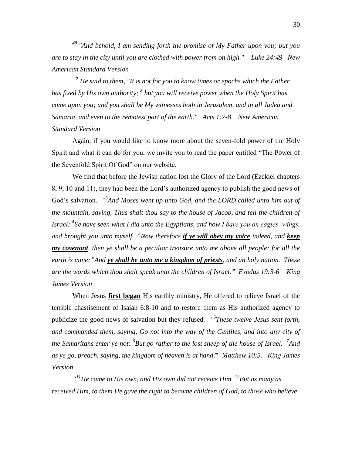<sup>*"And behold, I am sending forth the promise of My Father upon you; but you*</sup> *are to stay in the city until you are clothed with power from on high." Luke 24:49 New American Standard Version*

*<sup>7</sup> He said to them, "It is not for you to know times or epochs which the Father has fixed by His own authority; <sup>8</sup> but you will receive power when the Holy Spirit has come upon you; and you shall be My witnesses both in Jerusalem, and in all Judea and Samaria, and even to the remotest part of the earth." Acts 1:7-8 New American Standard Version*

Again, if you would like to know more about the seven-fold power of the Holy Spirit and what it can do for you, we invite you to read the paper entitled "The Power of the Sevenfold Spirit Of God" on our website.

We find that before the Jewish nation lost the Glory of the Lord (Ezekiel chapters 8, 9, 10 and 11), they had been the Lord's authorized agency to publish the good news of God's salvation. *"<sup>3</sup>And Moses went up unto God, and the LORD called unto him out of the mountain, saying, Thus shalt thou say to the house of Jacob, and tell the children of Israel; <sup>4</sup> Ye have seen what I did unto the Egyptians, and how I bare you on eagles' wings, and brought you unto myself. <sup>5</sup>Now therefore if ye will obey my voice indeed, and keep my covenant, then ye shall be a peculiar treasure unto me above all people: for all the earth is mine: <sup>6</sup> And ye shall be unto me a kingdom of priests, and an holy nation. These are the words which thou shalt speak unto the children of Israel." Exodus 19:3-6 King James Version*

When Jesus **first began** His earthly ministry, He offered to relieve Israel of the terrible chastisement of Isaiah 6:8-10 and to restore them as His authorized agency to publicize the good news of salvation but they refused. *" 5 These twelve Jesus sent forth, and commanded them, saying, Go not into the way of the Gentiles, and into any city of the Samaritans enter ye not: <sup>6</sup> But go rather to the lost sheep of the house of Israel. <sup>7</sup> And as ye go, preach, saying, the kingdom of heaven is at hand*.**"** *Matthew 10:5. King James Version*

*" <sup>11</sup>He came to His own, and His own did not receive Him. <sup>12</sup>But as many as received Him, to them He gave the right to become children of God, to those who believe*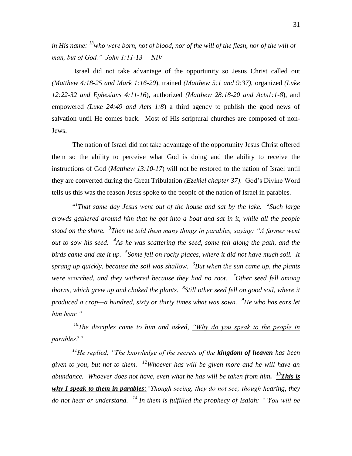*in His name: <sup>13</sup>who were born, not of blood, nor of the will of the flesh, nor of the will of man, but of God." John 1:11-13 NIV*

Israel did not take advantage of the opportunity so Jesus Christ called out *(Matthew 4:18-25 and Mark 1:16-20*), trained *(Matthew 5:1 and 9:37)*, organized *(Luke 12:22-32 and Ephesians 4:11-16*), authorized *(Matthew 28:18-20 and Acts1:1-8*), and empowered *(Luke 24:49 and Acts 1:8*) a third agency to publish the good news of salvation until He comes back. Most of His scriptural churches are composed of non-Jews.

The nation of Israel did not take advantage of the opportunity Jesus Christ offered them so the ability to perceive what God is doing and the ability to receive the instructions of God (*Matthew 13:10-17*) will not be restored to the nation of Israel until they are converted during the Great Tribulation *(Ezekiel chapter 37)*. God's Divine Word tells us this was the reason Jesus spoke to the people of the nation of Israel in parables.

<sup>1</sup>That same day Jesus went out of the house and sat by the lake. <sup>2</sup>Such large *crowds gathered around him that he got into a boat and sat in it, while all the people stood on the shore. <sup>3</sup> Then he told them many things in parables, saying: "A farmer went out to sow his seed. <sup>4</sup> As he was scattering the seed, some fell along the path, and the birds came and ate it up. <sup>5</sup> Some fell on rocky places, where it did not have much soil. It sprang up quickly, because the soil was shallow. <sup>6</sup> But when the sun came up, the plants were scorched, and they withered because they had no root. <sup>7</sup>Other seed fell among thorns, which grew up and choked the plants. <sup>8</sup> Still other seed fell on good soil, where it produced a crop—a hundred, sixty or thirty times what was sown. <sup>9</sup>He who has ears let him hear."*

*<sup>10</sup>The disciples came to him and asked, "Why do you speak to the people in parables?"*

*<sup>11</sup>He replied, "The knowledge of the secrets of the kingdom of heaven has been given to you, but not to them. <sup>12</sup>Whoever has will be given more and he will have an abundance. Whoever does not have, even what he has will be taken from him. <sup>13</sup>This is why I speak to them in parables:"Though seeing, they do not see; though hearing, they do not hear or understand. <sup>14</sup>In them is fulfilled the prophecy of Isaiah: "'You will be*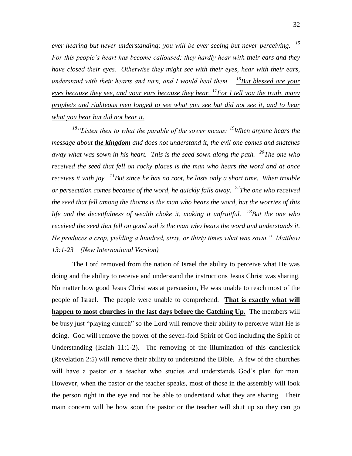*ever hearing but never understanding; you will be ever seeing but never perceiving. <sup>15</sup> For this people's heart has become calloused; they hardly hear with their ears and they have closed their eyes. Otherwise they might see with their eyes, hear with their ears, understand with their hearts and turn, and I would heal them.' <sup>16</sup>But blessed are your eyes because they see, and your ears because they hear. <sup>17</sup>For I tell you the truth, many prophets and righteous men longed to see what you see but did not see it, and to hear what you hear but did not hear it.*

*<sup>18</sup>"Listen then to what the parable of the sower means: <sup>19</sup>When anyone hears the message about the kingdom and does not understand it, the evil one comes and snatches away what was sown in his heart. This is the seed sown along the path. <sup>20</sup>The one who received the seed that fell on rocky places is the man who hears the word and at once receives it with joy. <sup>21</sup>But since he has no root, he lasts only a short time. When trouble or persecution comes because of the word, he quickly falls away. <sup>22</sup>The one who received the seed that fell among the thorns is the man who hears the word, but the worries of this life and the deceitfulness of wealth choke it, making it unfruitful. <sup>23</sup>But the one who received the seed that fell on good soil is the man who hears the word and understands it. He produces a crop, yielding a hundred, sixty, or thirty times what was sown." Matthew 13:1-23 (New International Version)* 

The Lord removed from the nation of Israel the ability to perceive what He was doing and the ability to receive and understand the instructions Jesus Christ was sharing. No matter how good Jesus Christ was at persuasion, He was unable to reach most of the people of Israel. The people were unable to comprehend. **That is exactly what will happen to most churches in the last days before the Catching Up.** The members will be busy just "playing church" so the Lord will remove their ability to perceive what He is doing. God will remove the power of the seven-fold Spirit of God including the Spirit of Understanding (Isaiah 11:1-2). The removing of the illumination of this candlestick (Revelation 2:5) will remove their ability to understand the Bible. A few of the churches will have a pastor or a teacher who studies and understands God's plan for man. However, when the pastor or the teacher speaks, most of those in the assembly will look the person right in the eye and not be able to understand what they are sharing. Their main concern will be how soon the pastor or the teacher will shut up so they can go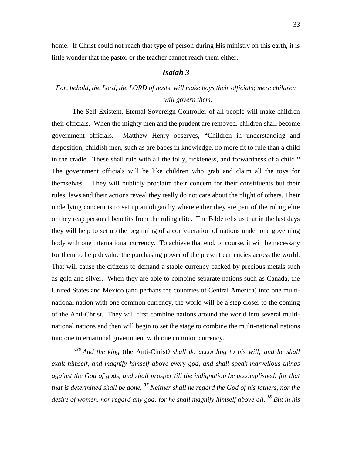home. If Christ could not reach that type of person during His ministry on this earth, it is little wonder that the pastor or the teacher cannot reach them either.

### *Isaiah 3*

# *For, behold, the Lord, the LORD of hosts, will make boys their officials; mere children will govern them.*

The Self-Existent, Eternal Sovereign Controller of all people will make children their officials. When the mighty men and the prudent are removed, children shall become government officials. Matthew Henry observes, **"**Children in understanding and disposition, childish men, such as are babes in knowledge, no more fit to rule than a child in the cradle. These shall rule with all the folly, fickleness, and forwardness of a child**."**  The government officials will be like children who grab and claim all the toys for themselves. They will publicly proclaim their concern for their constituents but their rules, laws and their actions reveal they really do not care about the plight of others. Their underlying concern is to set up an oligarchy where either they are part of the ruling elite or they reap personal benefits from the ruling elite. The Bible tells us that in the last days they will help to set up the beginning of a confederation of nations under one governing body with one international currency. To achieve that end, of course, it will be necessary for them to help devalue the purchasing power of the present currencies across the world. That will cause the citizens to demand a stable currency backed by precious metals such as gold and silver. When they are able to combine separate nations such as Canada, the United States and Mexico (and perhaps the countries of Central America) into one multinational nation with one common currency, the world will be a step closer to the coming of the Anti-Christ. They will first combine nations around the world into several multinational nations and then will begin to set the stage to combine the multi-national nations into one international government with one common currency.

<sup>436</sup> And the king (the Anti-Christ) shall do according to his will; and he shall *exalt himself, and magnify himself above every god, and shall speak marvellous things against the God of gods, and shall prosper till the indignation be accomplished: for that that is determined shall be done. <sup>37</sup> Neither shall he regard the God of his fathers, nor the desire of women, nor regard any god: for he shall magnify himself above all. <sup>38</sup> But in his*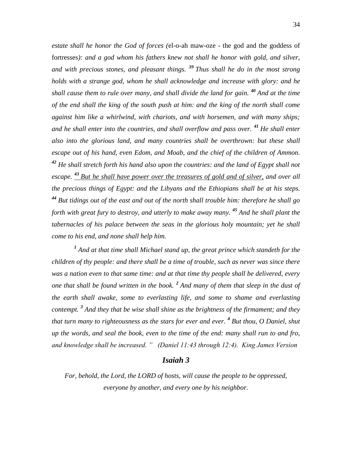*estate shall he honor the God of forces (*el-o-ah maw-oze - the god and the goddess of fortresses*): and a god whom his fathers knew not shall he honor with gold, and silver, and with precious stones, and pleasant things. <sup>39</sup> Thus shall he do in the most strong holds with a strange god, whom he shall acknowledge and increase with glory: and he shall cause them to rule over many, and shall divide the land for gain. <sup>40</sup> And at the time of the end shall the king of the south push at him: and the king of the north shall come against him like a whirlwind, with chariots, and with horsemen, and with many ships; and he shall enter into the countries, and shall overflow and pass over. <sup>41</sup> He shall enter also into the glorious land, and many countries shall be overthrown: but these shall escape out of his hand, even Edom, and Moab, and the chief of the children of Ammon. <sup>42</sup> He shall stretch forth his hand also upon the countries: and the land of Egypt shall not escape. <sup>43</sup> But he shall have power over the treasures of gold and of silver, and over all the precious things of Egypt: and the Libyans and the Ethiopians shall be at his steps. <sup>44</sup> But tidings out of the east and out of the north shall trouble him: therefore he shall go forth with great fury to destroy, and utterly to make away many. <sup>45</sup> And he shall plant the tabernacles of his palace between the seas in the glorious holy mountain; yet he shall come to his end, and none shall help him.*

<sup>1</sup> And at that time shall Michael stand up, the great prince which standeth for the *children of thy people: and there shall be a time of trouble, such as never was since there was a nation even to that same time: and at that time thy people shall be delivered, every one that shall be found written in the book. <sup>2</sup> And many of them that sleep in the dust of the earth shall awake, some to everlasting life, and some to shame and everlasting contempt. <sup>3</sup> And they that be wise shall shine as the brightness of the firmament; and they that turn many to righteousness as the stars for ever and ever. <sup>4</sup> But thou, O Daniel, shut up the words, and seal the book, even to the time of the end: many shall run to and fro, and knowledge shall be increased. " (Daniel 11:43 through 12:4). King James Version*

### *Isaiah 3*

*For, behold, the Lord, the LORD of hosts, will cause the people to be oppressed, everyone by another, and every one by his neighbor.*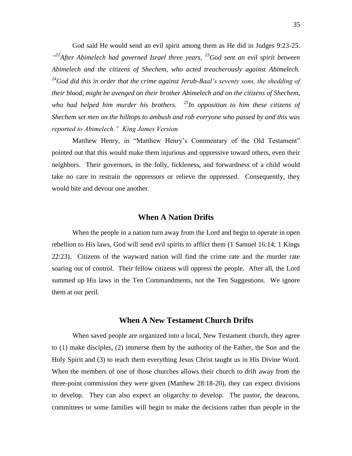God said He would send an evil spirit among them as He did in Judges 9:23-25. *" <sup>22</sup>After Abimelech had governed Israel three years, <sup>23</sup>God sent an evil spirit between Abimelech and the citizens of Shechem, who acted treacherously against Abimelech. <sup>24</sup>God did this in order that the crime against Jerub-Baal's seventy sons, the shedding of their blood, might be avenged on their brother Abimelech and on the citizens of Shechem, who had helped him murder his brothers. <sup>25</sup>In opposition to him these citizens of Shechem set men on the hilltops to ambush and rob everyone who passed by and this was reported to Abimelech." King James Version*

Matthew Henry, in "Matthew Henry's Commentary of the Old Testament" pointed out that this would make them injurious and oppressive toward others, even their neighbors. Their governors, in the folly, fickleness, and forwardness of a child would take no care to restrain the oppressors or relieve the oppressed. Consequently, they would bite and devour one another.

### **When A Nation Drifts**

When the people in a nation turn away from the Lord and begin to operate in open rebellion to His laws, God will send evil spirits to afflict them (1 Samuel 16:14; 1 Kings 22:23). Citizens of the wayward nation will find the crime rate and the murder rate soaring out of control. Their fellow citizens will oppress the people. After all, the Lord summed up His laws in the Ten Commandments, not the Ten Suggestions. We ignore them at our peril.

### **When A New Testament Church Drifts**

When saved people are organized into a local, New Testament church, they agree to (1) make disciples, (2) immerse them by the authority of the Father, the Son and the Holy Spirit and (3) to teach them everything Jesus Christ taught us in His Divine Word. When the members of one of those churches allows their church to drift away from the three-point commission they were given (Matthew 28:18-20), they can expect divisions to develop. They can also expect an oligarchy to develop. The pastor, the deacons, committees or some families will begin to make the decisions rather than people in the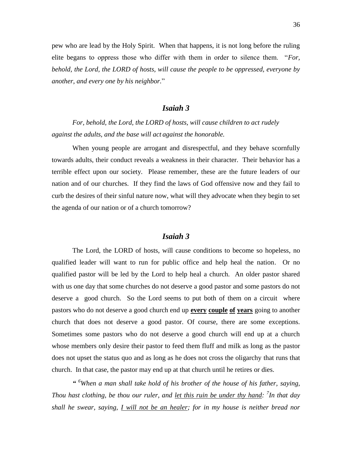pew who are lead by the Holy Spirit. When that happens, it is not long before the ruling elite begans to oppress those who differ with them in order to silence them. "*For, behold, the Lord, the LORD of hosts, will cause the people to be oppressed, everyone by another, and every one by his neighbor.*"

### *Isaiah 3*

*For, behold, the Lord, the LORD of hosts, will cause children to act rudely against the adults, and the base will act against the honorable.*

When young people are arrogant and disrespectful, and they behave scornfully towards adults, their conduct reveals a weakness in their character. Their behavior has a terrible effect upon our society. Please remember, these are the future leaders of our nation and of our churches. If they find the laws of God offensive now and they fail to curb the desires of their sinful nature now, what will they advocate when they begin to set the agenda of our nation or of a church tomorrow?

### *Isaiah 3*

The Lord, the LORD of hosts, will cause conditions to become so hopeless, no qualified leader will want to run for public office and help heal the nation. Or no qualified pastor will be led by the Lord to help heal a church. An older pastor shared with us one day that some churches do not deserve a good pastor and some pastors do not deserve a good church. So the Lord seems to put both of them on a circuit where pastors who do not deserve a good church end up **every couple of years** going to another church that does not deserve a good pastor. Of course, there are some exceptions. Sometimes some pastors who do not deserve a good church will end up at a church whose members only desire their pastor to feed them fluff and milk as long as the pastor does not upset the status quo and as long as he does not cross the oligarchy that runs that church. In that case, the pastor may end up at that church until he retires or dies.

*" <sup>6</sup>When a man shall take hold of his brother of the house of his father, saying, Thou hast clothing, be thou our ruler, and let this ruin be under thy hand: 7 In that day shall he swear, saying, I will not be an healer; for in my house is neither bread nor*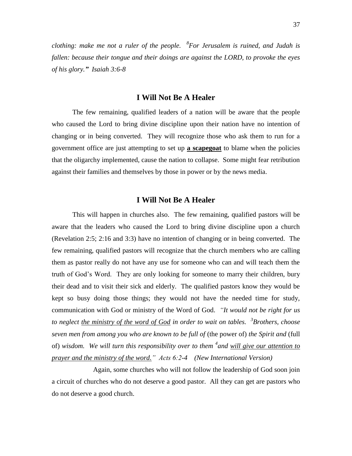*clothing: make me not a ruler of the people. <sup>8</sup> For Jerusalem is ruined, and Judah is fallen: because their tongue and their doings are against the LORD, to provoke the eyes of his glory." Isaiah 3:6-8*

### **I Will Not Be A Healer**

The few remaining, qualified leaders of a nation will be aware that the people who caused the Lord to bring divine discipline upon their nation have no intention of changing or in being converted. They will recognize those who ask them to run for a government office are just attempting to set up **a scapegoat** to blame when the policies that the oligarchy implemented, cause the nation to collapse. Some might fear retribution against their families and themselves by those in power or by the news media.

### **I Will Not Be A Healer**

This will happen in churches also. The few remaining, qualified pastors will be aware that the leaders who caused the Lord to bring divine discipline upon a church (Revelation 2:5; 2:16 and 3:3) have no intention of changing or in being converted. The few remaining, qualified pastors will recognize that the church members who are calling them as pastor really do not have any use for someone who can and will teach them the truth of God's Word. They are only looking for someone to marry their children, bury their dead and to visit their sick and elderly. The qualified pastors know they would be kept so busy doing those things; they would not have the needed time for study, communication with God or ministry of the Word of God. *"It would not be right for us to neglect the ministry of the word of God in order to wait on tables. <sup>3</sup> Brothers, choose seven men from among you who are known to be full of* (the power of) *the Spirit and* (full of) *wisdom. We will turn this responsibility over to them <sup>4</sup> and will give our attention to prayer and the ministry of the word." Acts 6:2-4 (New International Version)* 

Again, some churches who will not follow the leadership of God soon join a circuit of churches who do not deserve a good pastor. All they can get are pastors who do not deserve a good church.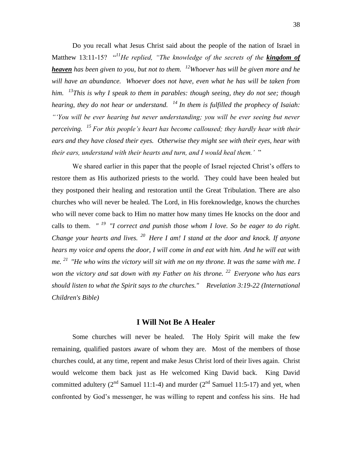Do you recall what Jesus Christ said about the people of the nation of Israel in Matthew 13:11-15? "*<sup>11</sup>He replied, "The knowledge of the secrets of the kingdom of heaven has been given to you, but not to them. <sup>12</sup>Whoever has will be given more and he*  will have an abundance. Whoever does not have, even what he has will be taken from *him. <sup>13</sup>This is why I speak to them in parables: though seeing, they do not see; though hearing, they do not hear or understand. <sup>14</sup>In them is fulfilled the prophecy of Isaiah: "'You will be ever hearing but never understanding; you will be ever seeing but never perceiving. <sup>15</sup>For this people's heart has become calloused; they hardly hear with their ears and they have closed their eyes. Otherwise they might see with their eyes, hear with their ears, understand with their hearts and turn, and I would heal them.'* "

We shared earlier in this paper that the people of Israel rejected Christ's offers to restore them as His authorized priests to the world. They could have been healed but they postponed their healing and restoration until the Great Tribulation. There are also churches who will never be healed. The Lord, in His foreknowledge, knows the churches who will never come back to Him no matter how many times He knocks on the door and calls to them. *" <sup>19</sup>"I correct and punish those whom I love. So be eager to do right. Change your hearts and lives. <sup>20</sup>Here I am! I stand at the door and knock. If anyone hears my voice and opens the door, I will come in and eat with him. And he will eat with me. <sup>21</sup>"He who wins the victory will sit with me on my throne. It was the same with me. I won the victory and sat down with my Father on his throne. <sup>22</sup>Everyone who has ears should listen to what the Spirit says to the churches." Revelation 3:19-22 (International Children's Bible)*

#### **I Will Not Be A Healer**

Some churches will never be healed. The Holy Spirit will make the few remaining, qualified pastors aware of whom they are. Most of the members of those churches could, at any time, repent and make Jesus Christ lord of their lives again. Christ would welcome them back just as He welcomed King David back. King David committed adultery  $(2^{nd}$  Samuel 11:1-4) and murder  $(2^{nd}$  Samuel 11:5-17) and yet, when confronted by God's messenger, he was willing to repent and confess his sins. He had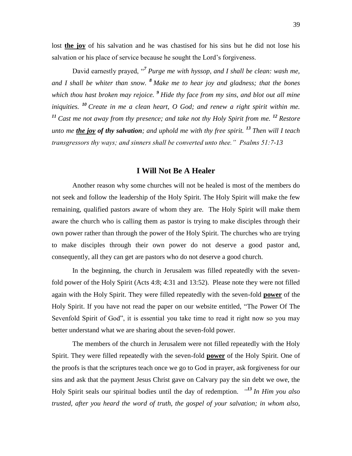lost **the joy** of his salvation and he was chastised for his sins but he did not lose his salvation or his place of service because he sought the Lord's forgiveness.

David earnestly prayed, "<sup>7</sup> Purge me with hyssop, and I shall be clean: wash me, *and I shall be whiter than snow. <sup>8</sup> Make me to hear joy and gladness; that the bones which thou hast broken may rejoice. <sup>9</sup> Hide thy face from my sins, and blot out all mine iniquities. <sup>10</sup> Create in me a clean heart, O God; and renew a right spirit within me. <sup>11</sup> Cast me not away from thy presence; and take not thy Holy Spirit from me. <sup>12</sup> Restore unto me the joy of thy salvation; and uphold me with thy free spirit. <sup>13</sup> Then will I teach transgressors thy ways; and sinners shall be converted unto thee." Psalms 51:7-13*

#### **I Will Not Be A Healer**

Another reason why some churches will not be healed is most of the members do not seek and follow the leadership of the Holy Spirit. The Holy Spirit will make the few remaining, qualified pastors aware of whom they are. The Holy Spirit will make them aware the church who is calling them as pastor is trying to make disciples through their own power rather than through the power of the Holy Spirit. The churches who are trying to make disciples through their own power do not deserve a good pastor and, consequently, all they can get are pastors who do not deserve a good church.

In the beginning, the church in Jerusalem was filled repeatedly with the sevenfold power of the Holy Spirit (Acts 4:8; 4:31 and 13:52). Please note they were not filled again with the Holy Spirit. They were filled repeatedly with the seven-fold **power** of the Holy Spirit. If you have not read the paper on our website entitled, "The Power Of The Sevenfold Spirit of God", it is essential you take time to read it right now so you may better understand what we are sharing about the seven-fold power.

The members of the church in Jerusalem were not filled repeatedly with the Holy Spirit. They were filled repeatedly with the seven-fold **power** of the Holy Spirit. One of the proofs is that the scriptures teach once we go to God in prayer, ask forgiveness for our sins and ask that the payment Jesus Christ gave on Calvary pay the sin debt we owe, the Holy Spirit seals our spiritual bodies until the day of redemption. *" <sup>13</sup> In Him you also trusted, after you heard the word of truth, the gospel of your salvation; in whom also,*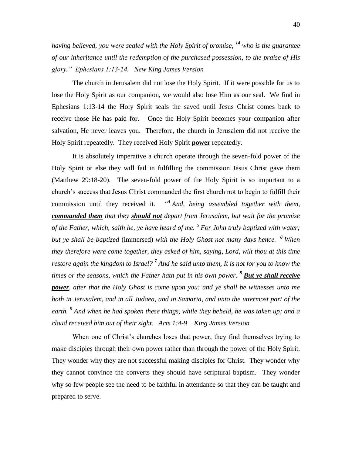*having believed, you were sealed with the Holy Spirit of promise, <sup>14</sup> who is the guarantee of our inheritance until the redemption of the purchased possession, to the praise of His glory." Ephesians 1:13-14. New King James Version*

The church in Jerusalem did not lose the Holy Spirit. If it were possible for us to lose the Holy Spirit as our companion, we would also lose Him as our seal. We find in Ephesians 1:13-14 the Holy Spirit seals the saved until Jesus Christ comes back to receive those He has paid for. Once the Holy Spirit becomes your companion after salvation, He never leaves you. Therefore, the church in Jerusalem did not receive the Holy Spirit repeatedly. They received Holy Spirit **power** repeatedly.

It is absolutely imperative a church operate through the seven-fold power of the Holy Spirit or else they will fail in fulfilling the commission Jesus Christ gave them (Matthew 29:18-20). The seven-fold power of the Holy Spirit is so important to a church's success that Jesus Christ commanded the first church not to begin to fulfill their commission until they received it. *" 4 And, being assembled together with them, commanded them that they should not depart from Jerusalem, but wait for the promise of the Father, which, saith he, ye have heard of me. <sup>5</sup> For John truly baptized with water; but ye shall be baptized* (immersed) *with the Holy Ghost not many days hence. <sup>6</sup> When they therefore were come together, they asked of him, saying, Lord, wilt thou at this time restore again the kingdom to Israel? <sup>7</sup> And he said unto them, It is not for you to know the times or the seasons, which the Father hath put in his own power. <sup>8</sup> But ye shall receive power, after that the Holy Ghost is come upon you: and ye shall be witnesses unto me both in Jerusalem, and in all Judaea, and in Samaria, and unto the uttermost part of the earth. <sup>9</sup> And when he had spoken these things, while they beheld, he was taken up; and a cloud received him out of their sight. Acts 1:4-9 King James Version*

When one of Christ's churches loses that power, they find themselves trying to make disciples through their own power rather than through the power of the Holy Spirit. They wonder why they are not successful making disciples for Christ. They wonder why they cannot convince the converts they should have scriptural baptism. They wonder why so few people see the need to be faithful in attendance so that they can be taught and prepared to serve.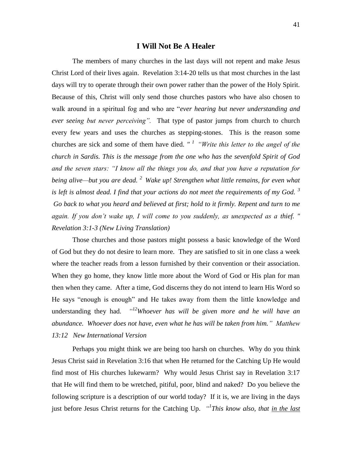#### **I Will Not Be A Healer**

The members of many churches in the last days will not repent and make Jesus Christ Lord of their lives again. Revelation 3:14-20 tells us that most churches in the last days will try to operate through their own power rather than the power of the Holy Spirit. Because of this, Christ will only send those churches pastors who have also chosen to walk around in a spiritual fog and who are "*ever hearing but never understanding and ever seeing but never perceiving".* That type of pastor jumps from church to church every few years and uses the churches as stepping-stones. This is the reason some churches are sick and some of them have died. "<sup>1</sup> "Write this letter to the angel of the *church in Sardis. This is the message from the one who has the sevenfold Spirit of God and the seven stars: "I know all the things you do, and that you have a reputation for being alive—but you are dead. <sup>2</sup>Wake up! Strengthen what little remains, for even what is left is almost dead. I find that your actions do not meet the requirements of my God. <sup>3</sup> Go back to what you heard and believed at first; hold to it firmly. Repent and turn to me again. If you don't wake up, I will come to you suddenly, as unexpected as a thief. " Revelation 3:1-3 (New Living Translation)*

Those churches and those pastors might possess a basic knowledge of the Word of God but they do not desire to learn more. They are satisfied to sit in one class a week where the teacher reads from a lesson furnished by their convention or their association. When they go home, they know little more about the Word of God or His plan for man then when they came. After a time, God discerns they do not intend to learn His Word so He says "enough is enough" and He takes away from them the little knowledge and understanding they had. *" <sup>12</sup>Whoever has will be given more and he will have an abundance. Whoever does not have, even what he has will be taken from him." Matthew 13:12 New International Version*

Perhaps you might think we are being too harsh on churches. Why do you think Jesus Christ said in Revelation 3:16 that when He returned for the Catching Up He would find most of His churches lukewarm? Why would Jesus Christ say in Revelation 3:17 that He will find them to be wretched, pitiful, poor, blind and naked? Do you believe the following scripture is a description of our world today? If it is, we are living in the days just before Jesus Christ returns for the Catching Up. *"This know also, that in the last*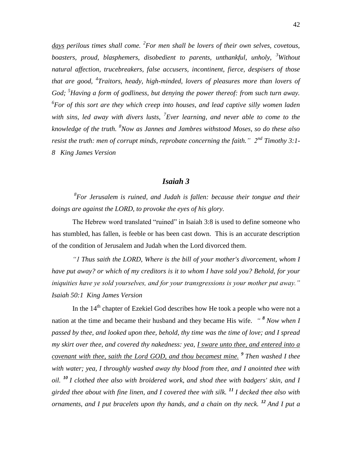days perilous times shall come. <sup>2</sup> For men shall be lovers of their own selves, covetous, *boasters, proud, blasphemers, disobedient to parents, unthankful, unholy, <sup>3</sup>Without natural affection, trucebreakers, false accusers, incontinent, fierce, despisers of those that are good, <sup>4</sup> Traitors, heady, high-minded, lovers of pleasures more than lovers of God; <sup>5</sup>Having a form of godliness, but denying the power thereof: from such turn away. 6 For of this sort are they which creep into houses, and lead captive silly women laden with sins, led away with divers lusts, <sup>7</sup> Ever learning, and never able to come to the knowledge of the truth. <sup>8</sup>Now as Jannes and Jambres withstood Moses, so do these also resist the truth: men of corrupt minds, reprobate concerning the faith." 2nd Timothy 3:1- 8 King James Version*

### *Isaiah 3*

*8 For Jerusalem is ruined, and Judah is fallen: because their tongue and their doings are against the LORD, to provoke the eyes of his glory.* 

The Hebrew word translated "ruined" in Isaiah 3:8 is used to define someone who has stumbled, has fallen, is feeble or has been cast down. This is an accurate description of the condition of Jerusalem and Judah when the Lord divorced them.

*"1 Thus saith the LORD, Where is the bill of your mother's divorcement, whom I have put away? or which of my creditors is it to whom I have sold you? Behold, for your iniquities have ye sold yourselves, and for your transgressions is your mother put away." Isaiah 50:1 King James Version*

In the  $14<sup>th</sup>$  chapter of Ezekiel God describes how He took a people who were not a nation at the time and became their husband and they became His wife. *" <sup>8</sup> Now when I passed by thee, and looked upon thee, behold, thy time was the time of love; and I spread my skirt over thee, and covered thy nakedness: yea, I sware unto thee, and entered into a covenant with thee, saith the Lord GOD, and thou becamest mine. <sup>9</sup> Then washed I thee with water; yea, I throughly washed away thy blood from thee, and I anointed thee with oil. <sup>10</sup> I clothed thee also with broidered work, and shod thee with badgers' skin, and I girded thee about with fine linen, and I covered thee with silk. <sup>11</sup> I decked thee also with ornaments, and I put bracelets upon thy hands, and a chain on thy neck. <sup>12</sup> And I put a*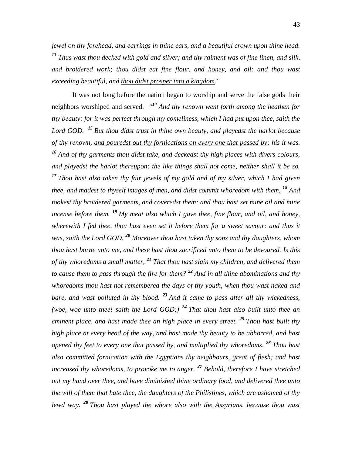*jewel on thy forehead, and earrings in thine ears, and a beautiful crown upon thine head. <sup>13</sup> Thus wast thou decked with gold and silver; and thy raiment was of fine linen, and silk, and broidered work; thou didst eat fine flour, and honey, and oil: and thou wast exceeding beautiful, and thou didst prosper into a kingdom.*"

It was not long before the nation began to worship and serve the false gods their neighbors worshiped and served. *" <sup>14</sup> And thy renown went forth among the heathen for thy beauty: for it was perfect through my comeliness, which I had put upon thee, saith the Lord GOD. <sup>15</sup> But thou didst trust in thine own beauty, and playedst the harlot because of thy renown, and pouredst out thy fornications on every one that passed by; his it was. <sup>16</sup> And of thy garments thou didst take, and deckedst thy high places with divers colours, and playedst the harlot thereupon: the like things shall not come, neither shall it be so. <sup>17</sup> Thou hast also taken thy fair jewels of my gold and of my silver, which I had given thee, and madest to thyself images of men, and didst commit whoredom with them,* <sup>18</sup> And *tookest thy broidered garments, and coveredst them: and thou hast set mine oil and mine incense before them. <sup>19</sup> My meat also which I gave thee, fine flour, and oil, and honey, wherewith I fed thee, thou hast even set it before them for a sweet savour: and thus it was, saith the Lord GOD. <sup>20</sup> Moreover thou hast taken thy sons and thy daughters, whom thou hast borne unto me, and these hast thou sacrificed unto them to be devoured. Is this of thy whoredoms a small matter, <sup>21</sup> That thou hast slain my children, and delivered them to cause them to pass through the fire for them? <sup>22</sup> And in all thine abominations and thy whoredoms thou hast not remembered the days of thy youth, when thou wast naked and bare, and wast polluted in thy blood. <sup>23</sup> And it came to pass after all thy wickedness, (woe, woe unto thee! saith the Lord GOD;) <sup>24</sup> That thou hast also built unto thee an eminent place, and hast made thee an high place in every street. <sup>25</sup> Thou hast built thy high place at every head of the way, and hast made thy beauty to be abhorred, and hast opened thy feet to every one that passed by, and multiplied thy whoredoms. <sup>26</sup> Thou hast also committed fornication with the Egyptians thy neighbours, great of flesh; and hast increased thy whoredoms, to provoke me to anger. <sup>27</sup> Behold, therefore I have stretched out my hand over thee, and have diminished thine ordinary food, and delivered thee unto the will of them that hate thee, the daughters of the Philistines, which are ashamed of thy lewd way. <sup>28</sup> Thou hast played the whore also with the Assyrians, because thou wast*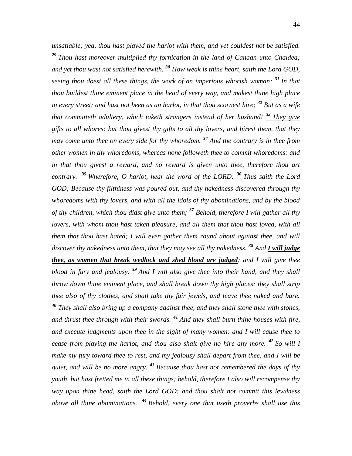*unsatiable; yea, thou hast played the harlot with them, and yet couldest not be satisfied. <sup>29</sup> Thou hast moreover multiplied thy fornication in the land of Canaan unto Chaldea; and yet thou wast not satisfied herewith. <sup>30</sup> How weak is thine heart, saith the Lord GOD, seeing thou doest all these things, the work of an imperious whorish woman; <sup>31</sup> In that thou buildest thine eminent place in the head of every way, and makest thine high place in every street; and hast not been as an harlot, in that thou scornest hire; <sup>32</sup> But as a wife that committeth adultery, which taketh strangers instead of her husband! <sup>33</sup> They give gifts to all whores: but thou givest thy gifts to all thy lovers, and hirest them, that they may come unto thee on every side for thy whoredom. <sup>34</sup> And the contrary is in thee from other women in thy whoredoms, whereas none followeth thee to commit whoredoms: and*  in that thou givest a reward, and no reward is given unto thee, therefore thou art *contrary. <sup>35</sup> Wherefore, O harlot, hear the word of the LORD: <sup>36</sup> Thus saith the Lord GOD; Because thy filthiness was poured out, and thy nakedness discovered through thy whoredoms with thy lovers, and with all the idols of thy abominations, and by the blood of thy children, which thou didst give unto them; <sup>37</sup> Behold, therefore I will gather all thy lovers, with whom thou hast taken pleasure, and all them that thou hast loved, with all them that thou hast hated; I will even gather them round about against thee, and will discover thy nakedness unto them, that they may see all thy nakedness. <sup>38</sup> And I will judge thee, as women that break wedlock and shed blood are judged; and I will give thee blood in fury and jealousy. <sup>39</sup> And I will also give thee into their hand, and they shall throw down thine eminent place, and shall break down thy high places: they shall strip thee also of thy clothes, and shall take thy fair jewels, and leave thee naked and bare. <sup>40</sup> They shall also bring up a company against thee, and they shall stone thee with stones, and thrust thee through with their swords. <sup>41</sup> And they shall burn thine houses with fire, and execute judgments upon thee in the sight of many women: and I will cause thee to cease from playing the harlot, and thou also shalt give no hire any more. <sup>42</sup> So will I make my fury toward thee to rest, and my jealousy shall depart from thee, and I will be quiet, and will be no more angry. <sup>43</sup> Because thou hast not remembered the days of thy youth, but hast fretted me in all these things; behold, therefore I also will recompense thy way upon thine head, saith the Lord GOD: and thou shalt not commit this lewdness above all thine abominations. <sup>44</sup> Behold, every one that useth proverbs shall use this*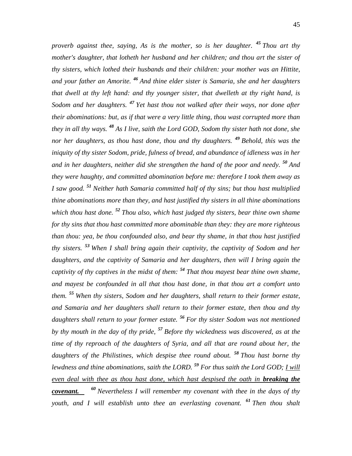*proverb against thee, saying, As is the mother, so is her daughter. <sup>45</sup> Thou art thy mother's daughter, that lotheth her husband and her children; and thou art the sister of thy sisters, which lothed their husbands and their children: your mother was an Hittite, and your father an Amorite. <sup>46</sup> And thine elder sister is Samaria, she and her daughters that dwell at thy left hand: and thy younger sister, that dwelleth at thy right hand, is Sodom and her daughters. <sup>47</sup> Yet hast thou not walked after their ways, nor done after their abominations: but, as if that were a very little thing, thou wast corrupted more than they in all thy ways. <sup>48</sup> As I live, saith the Lord GOD, Sodom thy sister hath not done, she nor her daughters, as thou hast done, thou and thy daughters. <sup>49</sup> Behold, this was the iniquity of thy sister Sodom, pride, fulness of bread, and abundance of idleness was in her and in her daughters, neither did she strengthen the hand of the poor and needy. <sup>50</sup> And they were haughty, and committed abomination before me: therefore I took them away as I saw good. <sup>51</sup> Neither hath Samaria committed half of thy sins; but thou hast multiplied thine abominations more than they, and hast justified thy sisters in all thine abominations which thou hast done. <sup>52</sup> Thou also, which hast judged thy sisters, bear thine own shame for thy sins that thou hast committed more abominable than they: they are more righteous than thou: yea, be thou confounded also, and bear thy shame, in that thou hast justified thy sisters. <sup>53</sup> When I shall bring again their captivity, the captivity of Sodom and her daughters, and the captivity of Samaria and her daughters, then will I bring again the captivity of thy captives in the midst of them: <sup>54</sup> That thou mayest bear thine own shame, and mayest be confounded in all that thou hast done, in that thou art a comfort unto them. <sup>55</sup> When thy sisters, Sodom and her daughters, shall return to their former estate, and Samaria and her daughters shall return to their former estate, then thou and thy daughters shall return to your former estate. <sup>56</sup> For thy sister Sodom was not mentioned by thy mouth in the day of thy pride, <sup>57</sup> Before thy wickedness was discovered, as at the time of thy reproach of the daughters of Syria, and all that are round about her, the daughters of the Philistines, which despise thee round about. <sup>58</sup> Thou hast borne thy lewdness and thine abominations, saith the LORD. <sup>59</sup> For thus saith the Lord GOD; I will even deal with thee as thou hast done, which hast despised the oath in breaking the covenant. <sup>60</sup> Nevertheless I will remember my covenant with thee in the days of thy youth, and I will establish unto thee an everlasting covenant. <sup>61</sup> Then thou shalt*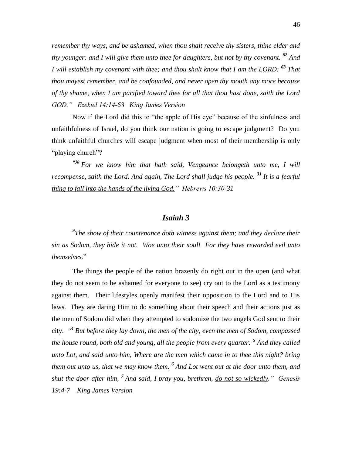*remember thy ways, and be ashamed, when thou shalt receive thy sisters, thine elder and thy younger: and I will give them unto thee for daughters, but not by thy covenant. <sup>62</sup> And I will establish my covenant with thee; and thou shalt know that I am the LORD: <sup>63</sup> That thou mayest remember, and be confounded, and never open thy mouth any more because of thy shame, when I am pacified toward thee for all that thou hast done, saith the Lord GOD." Ezekiel 14:14-63 King James Version*

Now if the Lord did this to "the apple of His eye" because of the sinfulness and unfaithfulness of Israel, do you think our nation is going to escape judgment? Do you think unfaithful churches will escape judgment when most of their membership is only "playing church"?

*"30 For we know him that hath said, Vengeance belongeth unto me, I will recompense, saith the Lord. And again, The Lord shall judge his people. <sup>31</sup> It is a fearful thing to fall into the hands of the living God." Hebrews 10:30-31*

### *Isaiah 3*

*9 The show of their countenance doth witness against them; and they declare their sin as Sodom, they hide it not. Woe unto their soul! For they have rewarded evil unto themselves.*"

The things the people of the nation brazenly do right out in the open (and what they do not seem to be ashamed for everyone to see) cry out to the Lord as a testimony against them. Their lifestyles openly manifest their opposition to the Lord and to His laws. They are daring Him to do something about their speech and their actions just as the men of Sodom did when they attempted to sodomize the two angels God sent to their city. *" 4 But before they lay down, the men of the city, even the men of Sodom, compassed the house round, both old and young, all the people from every quarter: <sup>5</sup> And they called unto Lot, and said unto him, Where are the men which came in to thee this night? bring them out unto us, that we may know them. 6 And Lot went out at the door unto them, and shut the door after him, <sup>7</sup> And said, I pray you, brethren, do not so wickedly." Genesis 19:4-7 King James Version*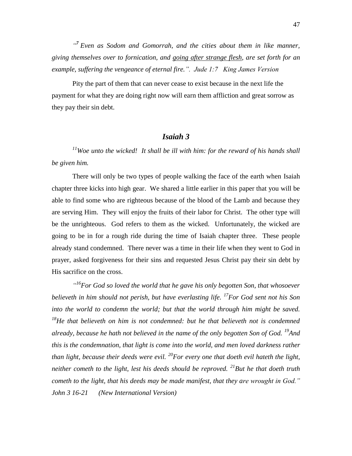<sup>"</sup> Even as Sodom and Gomorrah, and the cities about them in like manner, *giving themselves over to fornication, and going after strange flesh, are set forth for an example, suffering the vengeance of eternal fire.". Jude 1:7 King James Version*

Pity the part of them that can never cease to exist because in the next life the payment for what they are doing right now will earn them affliction and great sorrow as they pay their sin debt.

### *Isaiah 3*

*<sup>11</sup>Woe unto the wicked! It shall be ill with him: for the reward of his hands shall be given him.*

There will only be two types of people walking the face of the earth when Isaiah chapter three kicks into high gear. We shared a little earlier in this paper that you will be able to find some who are righteous because of the blood of the Lamb and because they are serving Him. They will enjoy the fruits of their labor for Christ. The other type will be the unrighteous. God refers to them as the wicked. Unfortunately, the wicked are going to be in for a rough ride during the time of Isaiah chapter three. These people already stand condemned. There never was a time in their life when they went to God in prayer, asked forgiveness for their sins and requested Jesus Christ pay their sin debt by His sacrifice on the cross.

<sup>"16</sup>For God so loved the world that he gave his only begotten Son, that whosoever *believeth in him should not perish, but have everlasting life. <sup>17</sup>For God sent not his Son*  into the world to condemn the world; but that the world through him might be saved. *<sup>18</sup>He that believeth on him is not condemned: but he that believeth not is condemned already, because he hath not believed in the name of the only begotten Son of God. <sup>19</sup>And this is the condemnation, that light is come into the world, and men loved darkness rather than light, because their deeds were evil. <sup>20</sup>For every one that doeth evil hateth the light, neither cometh to the light, lest his deeds should be reproved. <sup>21</sup>But he that doeth truth cometh to the light, that his deeds may be made manifest, that they are wrought in God." John 3 16-21 (New International Version)*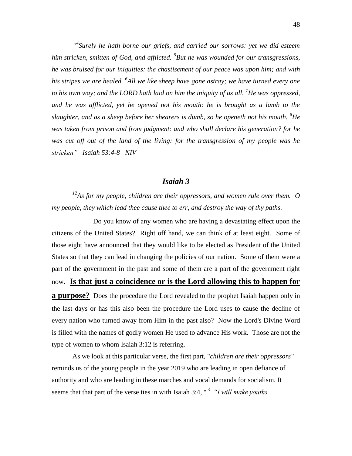<sup>44</sup> Surely he hath borne our griefs, and carried our sorrows: yet we did esteem *him stricken, smitten of God, and afflicted. <sup>5</sup> But he was wounded for our transgressions, he was bruised for our iniquities: the chastisement of our peace was upon him; and with his stripes we are healed. <sup>6</sup> All we like sheep have gone astray; we have turned every one to his own way; and the LORD hath laid on him the iniquity of us all. <sup>7</sup>He was oppressed, and he was afflicted, yet he opened not his mouth: he is brought as a lamb to the slaughter, and as a sheep before her shearers is dumb, so he openeth not his mouth. <sup>8</sup>He was taken from prison and from judgment: and who shall declare his generation? for he was cut off out of the land of the living: for the transgression of my people was he stricken" Isaiah 53:4-8 NIV*

### *Isaiah 3*

*<sup>12</sup>As for my people, children are their oppressors, and women rule over them. O my people, they which lead thee cause thee to err, and destroy the way of thy paths.* 

Do you know of any women who are having a devastating effect upon the citizens of the United States? Right off hand, we can think of at least eight. Some of those eight have announced that they would like to be elected as President of the United States so that they can lead in changing the policies of our nation. Some of them were a part of the government in the past and some of them are a part of the government right now. **Is that just a coincidence or is the Lord allowing this to happen for a purpose?** Does the procedure the Lord revealed to the prophet Isaiah happen only in the last days or has this also been the procedure the Lord uses to cause the decline of every nation who turned away from Him in the past also? Now the Lord's Divine Word is filled with the names of godly women He used to advance His work. Those are not the type of women to whom Isaiah 3:12 is referring.

As we look at this particular verse, the first part, "*children are their oppressors"* reminds us of the young people in the year 2019 who are leading in open defiance of authority and who are leading in these marches and vocal demands for socialism. It seems that that part of the verse ties in with Isaiah 3:4, " *<sup>4</sup>"I will make youths*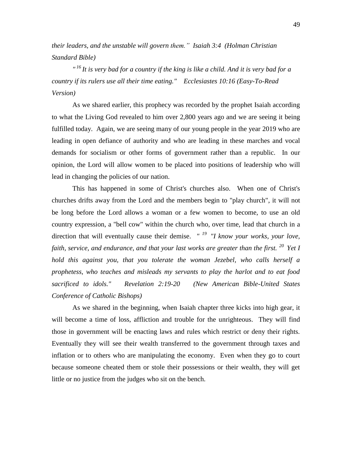*their leaders, and the unstable will govern them." Isaiah 3:4 (Holman Christian Standard Bible)*

*" <sup>16</sup>It is very bad for a country if the king is like a child. And it is very bad for a country if its rulers use all their time eating." Ecclesiastes 10:16 (Easy-To-Read Version)*

As we shared earlier, this prophecy was recorded by the prophet Isaiah according to what the Living God revealed to him over 2,800 years ago and we are seeing it being fulfilled today. Again, we are seeing many of our young people in the year 2019 who are leading in open defiance of authority and who are leading in these marches and vocal demands for socialism or other forms of government rather than a republic. In our opinion, the Lord will allow women to be placed into positions of leadership who will lead in changing the policies of our nation.

This has happened in some of Christ's churches also. When one of Christ's churches drifts away from the Lord and the members begin to "play church", it will not be long before the Lord allows a woman or a few women to become, to use an old country expression, a "bell cow" within the church who, over time, lead that church in a direction that will eventually cause their demise. *"*<sup>19</sup> *"I know your works, your love, faith, service, and endurance, and that your last works are greater than the first. <sup>20</sup>Yet I hold this against you, that you tolerate the woman Jezebel, who calls herself a prophetess, who teaches and misleads my servants to play the harlot and to eat food sacrificed to idols." Revelation 2:19-20 (New American Bible-United States Conference of Catholic Bishops)* 

As we shared in the beginning, when Isaiah chapter three kicks into high gear, it will become a time of loss, affliction and trouble for the unrighteous. They will find those in government will be enacting laws and rules which restrict or deny their rights. Eventually they will see their wealth transferred to the government through taxes and inflation or to others who are manipulating the economy. Even when they go to court because someone cheated them or stole their possessions or their wealth, they will get little or no justice from the judges who sit on the bench.